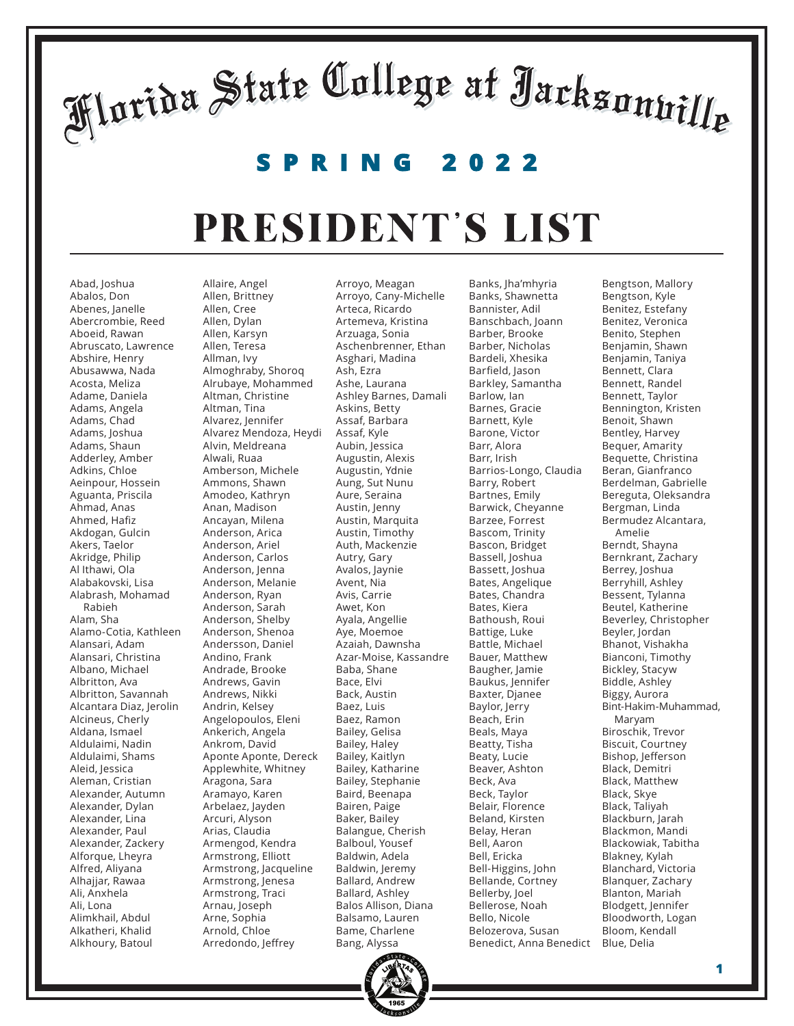#### **SPRING 2022**

#### PRESIDENT'S LIST

Abad, Joshua Abalos, Don Abenes, Janelle Abercrombie, Reed Aboeid, Rawan Abruscato, Lawrence Abshire, Henry Abusawwa, Nada Acosta, Meliza Adame, Daniela Adams, Angela Adams, Chad Adams, Joshua Adams, Shaun Adderley, Amber Adkins, Chloe Aeinpour, Hossein Aguanta, Priscila Ahmad, Anas Ahmed, Hafiz Akdogan, Gulcin Akers, Taelor Akridge, Philip Al Ithawi, Ola Alabakovski, Lisa Alabrash, Mohamad Rabieh Alam, Sha Alamo-Cotia, Kathleen Alansari, Adam Alansari, Christina Albano, Michael Albritton, Ava Albritton, Savannah Alcantara Diaz, Jerolin Alcineus, Cherly Aldana, Ismael Aldulaimi, Nadin Aldulaimi, Shams Aleid, Jessica Aleman, Cristian Alexander, Autumn Alexander, Dylan Alexander, Lina Alexander, Paul Alexander, Zackery Alforque, Lheyra Alfred, Aliyana Alhajjar, Rawaa Ali, Anxhela Ali, Lona Alimkhail, Abdul Alkatheri, Khalid Alkhoury, Batoul

Allaire, Angel Allen, Brittney Allen, Cree Allen, Dylan Allen, Karsyn Allen, Teresa Allman, Ivy Almoghraby, Shoroq Alrubaye, Mohammed Altman, Christine Altman, Tina Alvarez, Jennifer Alvarez Mendoza, Heydi Alvin, Meldreana Alwali, Ruaa Amberson, Michele Ammons, Shawn Amodeo, Kathryn Anan, Madison Ancayan, Milena Anderson, Arica Anderson, Ariel Anderson, Carlos Anderson, Jenna Anderson, Melanie Anderson, Ryan Anderson, Sarah Anderson, Shelby Anderson, Shenoa Andersson, Daniel Andino, Frank Andrade, Brooke Andrews, Gavin Andrews, Nikki Andrin, Kelsey Angelopoulos, Eleni Ankerich, Angela Ankrom, David Aponte Aponte, Dereck Applewhite, Whitney Aragona, Sara Aramayo, Karen Arbelaez, Jayden Arcuri, Alyson Arias, Claudia Armengod, Kendra Armstrong, Elliott Armstrong, Jacqueline Armstrong, Jenesa Armstrong, Traci Arnau, Joseph Arne, Sophia Arnold, Chloe Arredondo, Jeffrey

Arroyo, Meagan Arroyo, Cany-Michelle Arteca, Ricardo Artemeva, Kristina Arzuaga, Sonia Aschenbrenner, Ethan Asghari, Madina Ash, Ezra Ashe, Laurana Ashley Barnes, Damali Askins, Betty Assaf, Barbara Assaf, Kyle Aubin, Jessica Augustin, Alexis Augustin, Ydnie Aung, Sut Nunu Aure, Seraina Austin, Jenny Austin, Marquita Austin, Timothy Auth, Mackenzie Autry, Gary Avalos, Jaynie Avent, Nia Avis, Carrie Awet, Kon Ayala, Angellie Aye, Moemoe Azaiah, Dawnsha Azar-Moise, Kassandre Baba, Shane Bace, Elvi Back, Austin Baez, Luis Baez, Ramon Bailey, Gelisa Bailey, Haley Bailey, Kaitlyn Bailey, Katharine Bailey, Stephanie Baird, Beenapa Bairen, Paige Baker, Bailey Balangue, Cherish Balboul, Yousef Baldwin, Adela Baldwin, Jeremy Ballard, Andrew Ballard, Ashley Balos Allison, Diana Balsamo, Lauren Bame, Charlene Bang, Alyssa

Banks, Jha'mhyria Banks, Shawnetta Bannister, Adil Banschbach, Joann Barber, Brooke Barber, Nicholas Bardeli, Xhesika Barfield, Jason Barkley, Samantha Barlow, Ian Barnes, Gracie Barnett, Kyle Barone, Victor Barr, Alora Barr, Irish Barrios-Longo, Claudia Barry, Robert Bartnes, Emily Barwick, Cheyanne Barzee, Forrest Bascom, Trinity Bascon, Bridget Bassell, Joshua Bassett, Joshua Bates, Angelique Bates, Chandra Bates, Kiera Bathoush, Roui Battige, Luke Battle, Michael Bauer, Matthew Baugher, Jamie Baukus, Jennifer Baxter, Djanee Baylor, Jerry Beach, Erin Beals, Maya Beatty, Tisha Beaty, Lucie Beaver, Ashton Beck, Ava Beck, Taylor Belair, Florence Beland, Kirsten Belay, Heran Bell, Aaron Bell, Ericka Bell-Higgins, John Bellande, Cortney Bellerby, Joel Bellerose, Noah Bello, Nicole Belozerova, Susan Benedict, Anna Benedict

Bengtson, Mallory Bengtson, Kyle Benitez, Estefany Benitez, Veronica Benito, Stephen Benjamin, Shawn Benjamin, Taniya Bennett, Clara Bennett, Randel Bennett, Taylor Bennington, Kristen Benoit, Shawn Bentley, Harvey Bequer, Amarity Bequette, Christina Beran, Gianfranco Berdelman, Gabrielle Bereguta, Oleksandra Bergman, Linda Bermudez Alcantara, Amelie Berndt, Shayna Bernkrant, Zachary Berrey, Joshua Berryhill, Ashley Bessent, Tylanna Beutel, Katherine Beverley, Christopher Beyler, Jordan Bhanot, Vishakha Bianconi, Timothy Bickley, Stacyw Biddle, Ashley Biggy, Aurora Bint-Hakim-Muhammad, Maryam Biroschik, Trevor Biscuit, Courtney Bishop, Jefferson Black, Demitri Black, Matthew Black, Skye Black, Taliyah Blackburn, Jarah Blackmon, Mandi Blackowiak, Tabitha Blakney, Kylah Blanchard, Victoria Blanquer, Zachary Blanton, Mariah Blodgett, Jennifer Bloodworth, Logan Bloom, Kendall Blue, Delia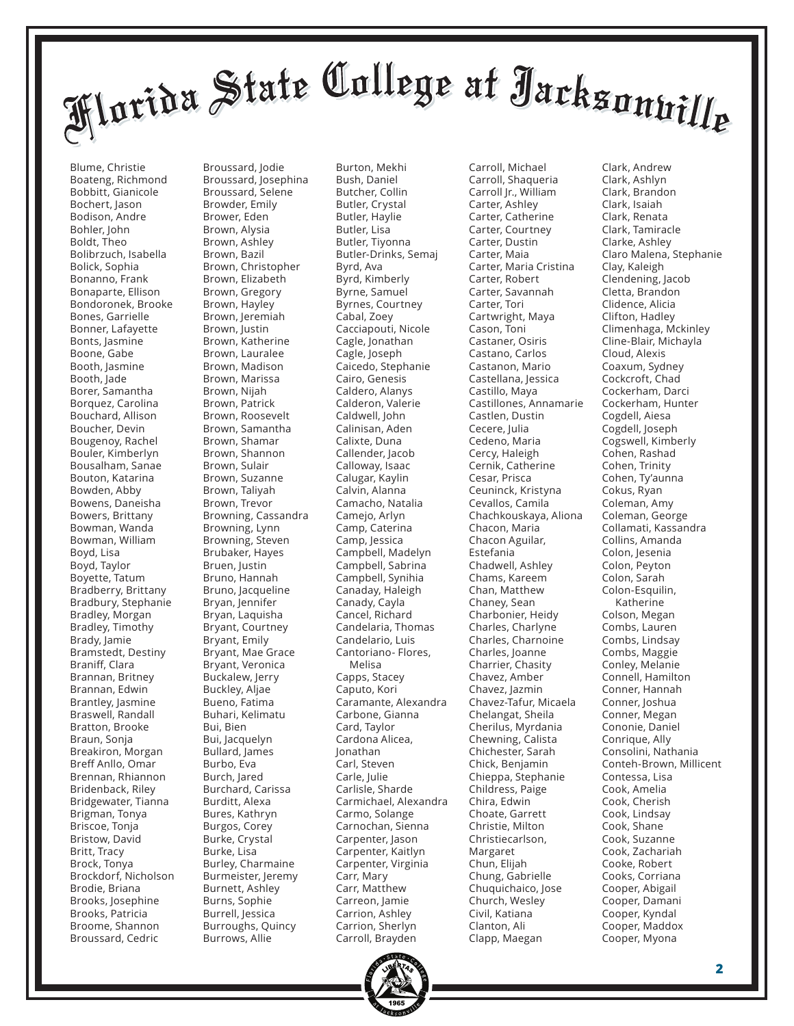Blume, Christie Boateng, Richmond Bobbitt, Gianicole Bochert, Jason Bodison, Andre Bohler, John Boldt, Theo Bolibrzuch, Isabella Bolick, Sophia Bonanno, Frank Bonaparte, Ellison Bondoronek, Brooke Bones, Garrielle Bonner, Lafayette Bonts, Jasmine Boone, Gabe Booth, Jasmine Booth, Jade Borer, Samantha Borquez, Carolina Bouchard, Allison Boucher, Devin Bougenoy, Rachel Bouler, Kimberlyn Bousalham, Sanae Bouton, Katarina Bowden, Abby Bowens, Daneisha Bowers, Brittany Bowman, Wanda Bowman, William Boyd, Lisa Boyd, Taylor Boyette, Tatum Bradberry, Brittany Bradbury, Stephanie Bradley, Morgan Bradley, Timothy Brady, Jamie Bramstedt, Destiny Braniff, Clara Brannan, Britney Brannan, Edwin Brantley, Jasmine Braswell, Randall Bratton, Brooke Braun, Sonja Breakiron, Morgan Breff Anllo, Omar Brennan, Rhiannon Bridenback, Riley Bridgewater, Tianna Brigman, Tonya Briscoe, Tonja Bristow, David Britt, Tracy Brock, Tonya Brockdorf, Nicholson Brodie, Briana Brooks, Josephine Brooks, Patricia Broome, Shannon Broussard, Cedric

Broussard, Jodie Broussard, Josephina Broussard, Selene Browder, Emily Brower, Eden Brown, Alysia Brown, Ashley Brown, Bazil Brown, Christopher Brown, Elizabeth Brown, Gregory Brown, Hayley Brown, Jeremiah Brown, Justin Brown, Katherine Brown, Lauralee Brown, Madison Brown, Marissa Brown, Nijah Brown, Patrick Brown, Roosevelt Brown, Samantha Brown, Shamar Brown, Shannon Brown, Sulair Brown, Suzanne Brown, Taliyah Brown, Trevor Browning, Cassandra Browning, Lynn Browning, Steven Brubaker, Hayes Bruen, Justin Bruno, Hannah Bruno, Jacqueline Bryan, Jennifer Bryan, Laquisha Bryant, Courtney Bryant, Emily Bryant, Mae Grace Bryant, Veronica Buckalew, Jerry Buckley, Aljae Bueno, Fatima Buhari, Kelimatu Bui, Bien Bui, Jacquelyn Bullard, James Burbo, Eva Burch, Jared Burchard, Carissa Burditt, Alexa Bures, Kathryn Burgos, Corey Burke, Crystal Burke, Lisa Burley, Charmaine Burmeister, Jeremy Burnett, Ashley Burns, Sophie Burrell, Jessica Burroughs, Quincy Burrows, Allie

Burton, Mekhi Bush, Daniel Butcher, Collin Butler, Crystal Butler, Haylie Butler, Lisa Butler, Tiyonna Butler-Drinks, Semaj Byrd, Ava Byrd, Kimberly Byrne, Samuel Byrnes, Courtney Cabal, Zoey Cacciapouti, Nicole Cagle, Jonathan Cagle, Joseph Caicedo, Stephanie Cairo, Genesis Caldero, Alanys Calderon, Valerie Caldwell, John Calinisan, Aden Calixte, Duna Callender, Jacob Calloway, Isaac Calugar, Kaylin Calvin, Alanna Camacho, Natalia Camejo, Arlyn Camp, Caterina Camp, Jessica Campbell, Madelyn Campbell, Sabrina Campbell, Synihia Canaday, Haleigh Canady, Cayla Cancel, Richard Candelaria, Thomas Candelario, Luis Cantoriano- Flores, Melisa Capps, Stacey Caputo, Kori Caramante, Alexandra Carbone, Gianna Card, Taylor Cardona Alicea, Jonathan Carl, Steven Carle, Julie Carlisle, Sharde Carmichael, Alexandra Carmo, Solange Carnochan, Sienna Carpenter, Jason Carpenter, Kaitlyn Carpenter, Virginia Carr, Mary Carr, Matthew Carreon, Jamie Carrion, Ashley Carrion, Sherlyn Carroll, Brayden

Carroll, Michael Carroll, Shaqueria Carroll Jr., William Carter, Ashley Carter, Catherine Carter, Courtney Carter, Dustin Carter, Maia Carter, Maria Cristina Carter, Robert Carter, Savannah Carter, Tori Cartwright, Maya Cason, Toni Castaner, Osiris Castano, Carlos Castanon, Mario Castellana, Jessica Castillo, Maya Castillones, Annamarie Castlen, Dustin Cecere, Julia Cedeno, Maria Cercy, Haleigh Cernik, Catherine Cesar, Prisca Ceuninck, Kristyna Cevallos, Camila Chachkouskaya, Aliona Chacon, Maria Chacon Aguilar, Estefania Chadwell, Ashley Chams, Kareem Chan, Matthew Chaney, Sean Charbonier, Heidy Charles, Charlyne Charles, Charnoine Charles, Joanne Charrier, Chasity Chavez, Amber Chavez, Jazmin Chavez-Tafur, Micaela Chelangat, Sheila Cherilus, Myrdania Chewning, Calista Chichester, Sarah Chick, Benjamin Chieppa, Stephanie Childress, Paige Chira, Edwin Choate, Garrett Christie, Milton Christiecarlson, Margaret Chun, Elijah Chung, Gabrielle Chuquichaico, Jose Church, Wesley Civil, Katiana Clanton, Ali Clapp, Maegan

Clark, Andrew Clark, Ashlyn Clark, Brandon Clark, Isaiah Clark, Renata Clark, Tamiracle Clarke, Ashley Claro Malena, Stephanie Clay, Kaleigh Clendening, Jacob Cletta, Brandon Clidence, Alicia Clifton, Hadley Climenhaga, Mckinley Cline-Blair, Michayla Cloud, Alexis Coaxum, Sydney Cockcroft, Chad Cockerham, Darci Cockerham, Hunter Cogdell, Aiesa Cogdell, Joseph Cogswell, Kimberly Cohen, Rashad Cohen, Trinity Cohen, Ty'aunna Cokus, Ryan Coleman, Amy Coleman, George Collamati, Kassandra Collins, Amanda Colon, Jesenia Colon, Peyton Colon, Sarah Colon-Esquilin, Katherine Colson, Megan Combs, Lauren Combs, Lindsay Combs, Maggie Conley, Melanie Connell, Hamilton Conner, Hannah Conner, Joshua Conner, Megan Cononie, Daniel Conrique, Ally Consolini, Nathania Conteh-Brown, Millicent Contessa, Lisa Cook, Amelia Cook, Cherish Cook, Lindsay Cook, Shane Cook, Suzanne Cook, Zachariah Cooke, Robert Cooks, Corriana Cooper, Abigail Cooper, Damani Cooper, Kyndal Cooper, Maddox Cooper, Myona

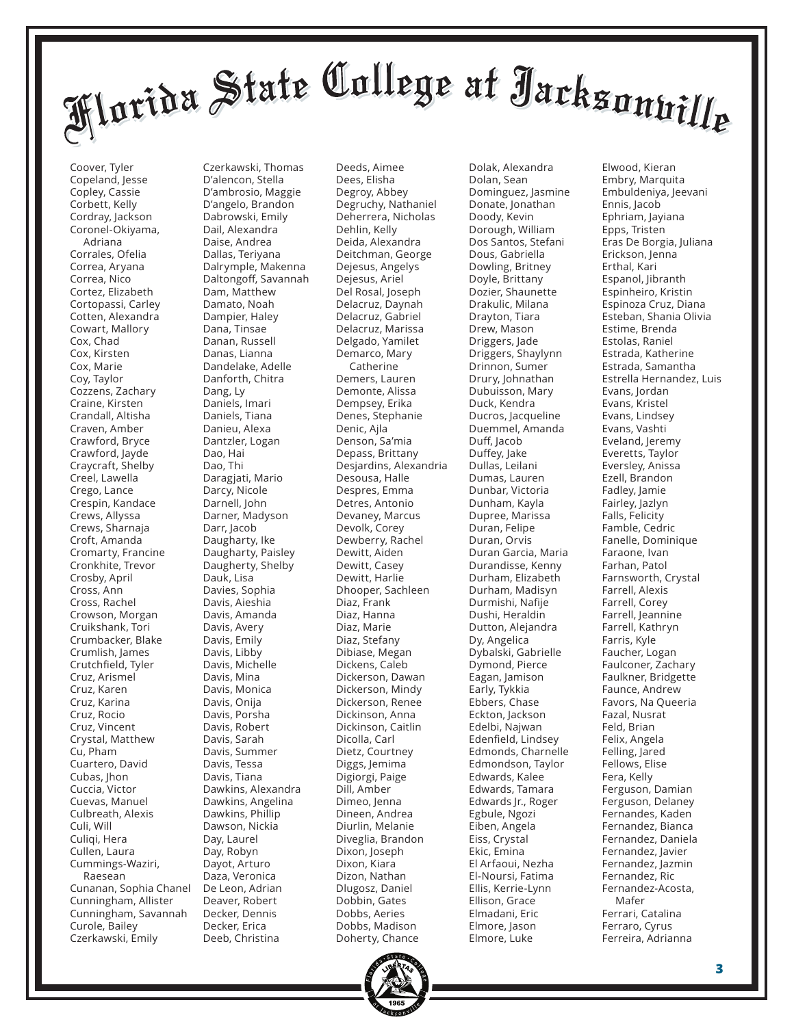Coover, Tyler Copeland, Jesse Copley, Cassie Corbett, Kelly Cordray, Jackson Coronel-Okiyama, Adriana Corrales, Ofelia Correa, Aryana Correa, Nico Cortez, Elizabeth Cortopassi, Carley Cotten, Alexandra Cowart, Mallory Cox, Chad Cox, Kirsten Cox, Marie Coy, Taylor Cozzens, Zachary Craine, Kirsten Crandall, Altisha Craven, Amber Crawford, Bryce Crawford, Jayde Craycraft, Shelby Creel, Lawella Crego, Lance Crespin, Kandace Crews, Allyssa Crews, Sharnaja Croft, Amanda Cromarty, Francine Cronkhite, Trevor Crosby, April Cross, Ann Cross, Rachel Crowson, Morgan Cruikshank, Tori Crumbacker, Blake Crumlish, James Crutchfield, Tyler Cruz, Arismel Cruz, Karen Cruz, Karina Cruz, Rocio Cruz, Vincent Crystal, Matthew Cu, Pham Cuartero, David Cubas, Jhon Cuccia, Victor Cuevas, Manuel Culbreath, Alexis Culi, Will Culiqi, Hera Cullen, Laura Cummings-Waziri, Raesean Cunanan, Sophia Chanel Cunningham, Allister Cunningham, Savannah Curole, Bailey Czerkawski, Emily

Czerkawski, Thomas D'alencon, Stella D'ambrosio, Maggie D'angelo, Brandon Dabrowski, Emily Dail, Alexandra Daise, Andrea Dallas, Teriyana Dalrymple, Makenna Daltongoff, Savannah Dam, Matthew Damato, Noah Dampier, Haley Dana, Tinsae Danan, Russell Danas, Lianna Dandelake, Adelle Danforth, Chitra Dang, Ly Daniels, Imari Daniels, Tiana Danieu, Alexa Dantzler, Logan Dao, Hai Dao, Thi Daragjati, Mario Darcy, Nicole Darnell, John Darner, Madyson Darr, Jacob Daugharty, Ike Daugharty, Paisley Daugherty, Shelby Dauk, Lisa Davies, Sophia Davis, Aieshia Davis, Amanda Davis, Avery Davis, Emily Davis, Libby Davis, Michelle Davis, Mina Davis, Monica Davis, Onija Davis, Porsha Davis, Robert Davis, Sarah Davis, Summer Davis, Tessa Davis, Tiana Dawkins, Alexandra Dawkins, Angelina Dawkins, Phillip Dawson, Nickia Day, Laurel Day, Robyn Dayot, Arturo Daza, Veronica De Leon, Adrian Deaver, Robert Decker, Dennis Decker, Erica Deeb, Christina

Deeds, Aimee Dees, Elisha Degroy, Abbey Degruchy, Nathaniel Deherrera, Nicholas Dehlin, Kelly Deida, Alexandra Deitchman, George Dejesus, Angelys Dejesus, Ariel Del Rosal, Joseph Delacruz, Daynah Delacruz, Gabriel Delacruz, Marissa Delgado, Yamilet Demarco, Mary Catherine Demers, Lauren Demonte, Alissa Dempsey, Erika Denes, Stephanie Denic, Ajla Denson, Sa'mia Depass, Brittany Desjardins, Alexandria Desousa, Halle Despres, Emma Detres, Antonio Devaney, Marcus Devolk, Corey Dewberry, Rachel Dewitt, Aiden Dewitt, Casey Dewitt, Harlie Dhooper, Sachleen Diaz, Frank Diaz, Hanna Diaz, Marie Diaz, Stefany Dibiase, Megan Dickens, Caleb Dickerson, Dawan Dickerson, Mindy Dickerson, Renee Dickinson, Anna Dickinson, Caitlin Dicolla, Carl Dietz, Courtney Diggs, Jemima Digiorgi, Paige Dill, Amber Dimeo, Jenna Dineen, Andrea Diurlin, Melanie Diveglia, Brandon Dixon, Joseph Dixon, Kiara Dizon, Nathan Dlugosz, Daniel Dobbin, Gates Dobbs, Aeries Dobbs, Madison Doherty, Chance

Dolak, Alexandra Dolan, Sean Dominguez, Jasmine Donate, Jonathan Doody, Kevin Dorough, William Dos Santos, Stefani Dous, Gabriella Dowling, Britney Doyle, Brittany Dozier, Shaunette Drakulic, Milana Drayton, Tiara Drew, Mason Driggers, Jade Driggers, Shaylynn Drinnon, Sumer Drury, Johnathan Dubuisson, Mary Duck, Kendra Ducros, Jacqueline Duemmel, Amanda Duff, Jacob Duffey, Jake Dullas, Leilani Dumas, Lauren Dunbar, Victoria Dunham, Kayla Dupree, Marissa Duran, Felipe Duran, Orvis Duran Garcia, Maria Durandisse, Kenny Durham, Elizabeth Durham, Madisyn Durmishi, Nafije Dushi, Heraldin Dutton, Alejandra Dy, Angelica Dybalski, Gabrielle Dymond, Pierce Eagan, Jamison Early, Tykkia Ebbers, Chase Eckton, Jackson Edelbi, Najwan Edenfield, Lindsey Edmonds, Charnelle Edmondson, Taylor Edwards, Kalee Edwards, Tamara Edwards Jr., Roger Egbule, Ngozi Eiben, Angela Eiss, Crystal Ekic, Emina El Arfaoui, Nezha El-Noursi, Fatima Ellis, Kerrie-Lynn Ellison, Grace Elmadani, Eric Elmore, Jason Elmore, Luke

Elwood, Kieran Embry, Marquita Embuldeniya, Jeevani Ennis, Jacob Ephriam, Jayiana Epps, Tristen Eras De Borgia, Juliana Erickson, Jenna Erthal, Kari Espanol, Jibranth Espinheiro, Kristin Espinoza Cruz, Diana Esteban, Shania Olivia Estime, Brenda Estolas, Raniel Estrada, Katherine Estrada, Samantha Estrella Hernandez, Luis Evans, Jordan Evans, Kristel Evans, Lindsey Evans, Vashti Eveland, Jeremy Everetts, Taylor Eversley, Anissa Ezell, Brandon Fadley, Jamie Fairley, Jazlyn Falls, Felicity Famble, Cedric Fanelle, Dominique Faraone, Ivan Farhan, Patol Farnsworth, Crystal Farrell, Alexis Farrell, Corey Farrell, Jeannine Farrell, Kathryn Farris, Kyle Faucher, Logan Faulconer, Zachary Faulkner, Bridgette Faunce, Andrew Favors, Na Queeria Fazal, Nusrat Feld, Brian Felix, Angela Felling, Jared Fellows, Elise Fera, Kelly Ferguson, Damian Ferguson, Delaney Fernandes, Kaden Fernandez, Bianca Fernandez, Daniela Fernandez, Javier Fernandez, Jazmin Fernandez, Ric Fernandez-Acosta, Mafer Ferrari, Catalina Ferraro, Cyrus Ferreira, Adrianna

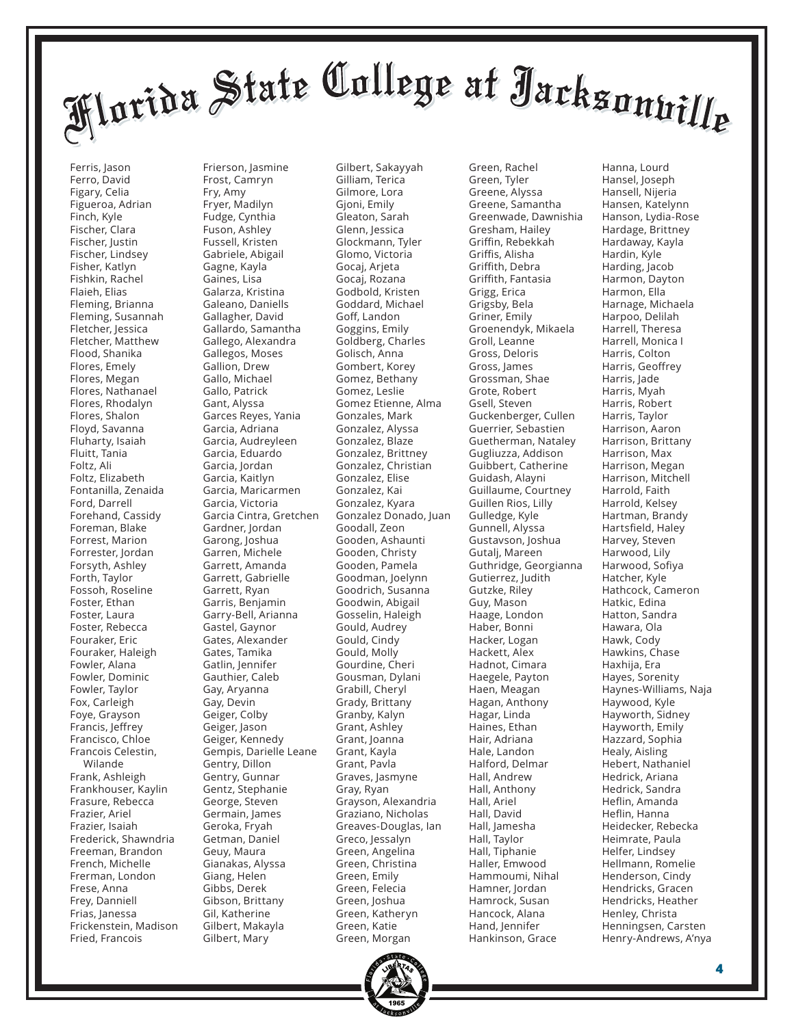Ferris, Jason Ferro, David Figary, Celia Figueroa, Adrian Finch, Kyle Fischer, Clara Fischer, Justin Fischer, Lindsey Fisher, Katlyn Fishkin, Rachel Flaieh, Elias Fleming, Brianna Fleming, Susannah Fletcher, Jessica Fletcher, Matthew Flood, Shanika Flores, Emely Flores, Megan Flores, Nathanael Flores, Rhodalyn Flores, Shalon Floyd, Savanna Fluharty, Isaiah Fluitt, Tania Foltz, Ali Foltz, Elizabeth Fontanilla, Zenaida Ford, Darrell Forehand, Cassidy Foreman, Blake Forrest, Marion Forrester, Jordan Forsyth, Ashley Forth, Taylor Fossoh, Roseline Foster, Ethan Foster, Laura Foster, Rebecca Fouraker, Eric Fouraker, Haleigh Fowler, Alana Fowler, Dominic Fowler, Taylor Fox, Carleigh Foye, Grayson Francis, Jeffrey Francisco, Chloe Francois Celestin, Wilande Frank, Ashleigh Frankhouser, Kaylin Frasure, Rebecca Frazier, Ariel Frazier, Isaiah Frederick, Shawndria Freeman, Brandon French, Michelle Frerman, London Frese, Anna Frey, Danniell Frias, Janessa Frickenstein, Madison Fried, Francois

Frierson, Jasmine Frost, Camryn Fry, Amy Fryer, Madilyn Fudge, Cynthia Fuson, Ashley Fussell, Kristen Gabriele, Abigail Gagne, Kayla Gaines, Lisa Galarza, Kristina Galeano, Daniells Gallagher, David Gallardo, Samantha Gallego, Alexandra Gallegos, Moses Gallion, Drew Gallo, Michael Gallo, Patrick Gant, Alyssa Garces Reyes, Yania Garcia, Adriana Garcia, Audreyleen Garcia, Eduardo Garcia, Jordan Garcia, Kaitlyn Garcia, Maricarmen Garcia, Victoria Garcia Cintra, Gretchen Gardner, Jordan Garong, Joshua Garren, Michele Garrett, Amanda Garrett, Gabrielle Garrett, Ryan Garris, Benjamin Garry-Bell, Arianna Gastel, Gaynor Gates, Alexander Gates, Tamika Gatlin, Jennifer Gauthier, Caleb Gay, Aryanna Gay, Devin Geiger, Colby Geiger, Jason Geiger, Kennedy Gempis, Darielle Leane Gentry, Dillon Gentry, Gunnar Gentz, Stephanie George, Steven Germain, James Geroka, Fryah Getman, Daniel Geuy, Maura Gianakas, Alyssa Giang, Helen Gibbs, Derek Gibson, Brittany Gil, Katherine Gilbert, Makayla Gilbert, Mary

Gilbert, Sakayyah Gilliam, Terica Gilmore, Lora Gjoni, Emily Gleaton, Sarah Glenn, Jessica Glockmann, Tyler Glomo, Victoria Gocaj, Arjeta Gocaj, Rozana Godbold, Kristen Goddard, Michael Goff, Landon Goggins, Emily Goldberg, Charles Golisch, Anna Gombert, Korey Gomez, Bethany Gomez, Leslie Gomez Etienne, Alma Gonzales, Mark Gonzalez, Alyssa Gonzalez, Blaze Gonzalez, Brittney Gonzalez, Christian Gonzalez, Elise Gonzalez, Kai Gonzalez, Kyara Gonzalez Donado, Juan Goodall, Zeon Gooden, Ashaunti Gooden, Christy Gooden, Pamela Goodman, Joelynn Goodrich, Susanna Goodwin, Abigail Gosselin, Haleigh Gould, Audrey Gould, Cindy Gould, Molly Gourdine, Cheri Gousman, Dylani Grabill, Cheryl Grady, Brittany Granby, Kalyn Grant, Ashley Grant, Joanna Grant, Kayla Grant, Pavla Graves, Jasmyne Gray, Ryan Grayson, Alexandria Graziano, Nicholas Greaves-Douglas, Ian Greco, Jessalyn Green, Angelina Green, Christina Green, Emily Green, Felecia Green, Joshua Green, Katheryn Green, Katie Green, Morgan

Green, Tyler Greene, Alyssa Greene, Samantha Greenwade, Dawnishia Gresham, Hailey Griffin, Rebekkah Griffis, Alisha Griffith, Debra Griffith, Fantasia Grigg, Erica Grigsby, Bela Griner, Emily Groenendyk, Mikaela Groll, Leanne Gross, Deloris Gross, James Grossman, Shae Grote, Robert Gsell, Steven Guckenberger, Cullen Guerrier, Sebastien Guetherman, Nataley Gugliuzza, Addison Guibbert, Catherine Guidash, Alayni Guillaume, Courtney Guillen Rios, Lilly Gulledge, Kyle Gunnell, Alyssa Gustavson, Joshua Gutalj, Mareen Guthridge, Georgianna Gutierrez, Judith Gutzke, Riley Guy, Mason Haage, London Haber, Bonni Hacker, Logan Hackett, Alex Hadnot, Cimara Haegele, Payton Haen, Meagan Hagan, Anthony Hagar, Linda Haines, Ethan Hair, Adriana Hale, Landon Halford, Delmar Hall, Andrew Hall, Anthony Hall, Ariel Hall, David Hall, Jamesha Hall, Taylor Hall, Tiphanie Haller, Emwood Hammoumi, Nihal Hamner, Jordan Hamrock, Susan Hancock, Alana Hand, Jennifer Hankinson, Grace

Green, Rachel

Hanna, Lourd Hansel, Joseph Hansell, Nijeria Hansen, Katelynn Hanson, Lydia-Rose Hardage, Brittney Hardaway, Kayla Hardin, Kyle Harding, Jacob Harmon, Dayton Harmon, Ella Harnage, Michaela Harpoo, Delilah Harrell, Theresa Harrell, Monica I Harris, Colton Harris, Geoffrey Harris, Jade Harris, Myah Harris, Robert Harris, Taylor Harrison, Aaron Harrison, Brittany Harrison, Max Harrison, Megan Harrison, Mitchell Harrold, Faith Harrold, Kelsey Hartman, Brandy Hartsfield, Haley Harvey, Steven Harwood, Lily Harwood, Sofiya Hatcher, Kyle Hathcock, Cameron Hatkic, Edina Hatton, Sandra Hawara, Ola Hawk, Cody Hawkins, Chase Haxhija, Era Hayes, Sorenity Haynes-Williams, Naja Haywood, Kyle Hayworth, Sidney Hayworth, Emily Hazzard, Sophia Healy, Aisling Hebert, Nathaniel Hedrick, Ariana Hedrick, Sandra Heflin, Amanda Heflin, Hanna Heidecker, Rebecka Heimrate, Paula Helfer, Lindsey Hellmann, Romelie Henderson, Cindy Hendricks, Gracen Hendricks, Heather Henley, Christa Henningsen, Carsten Henry-Andrews, A'nya

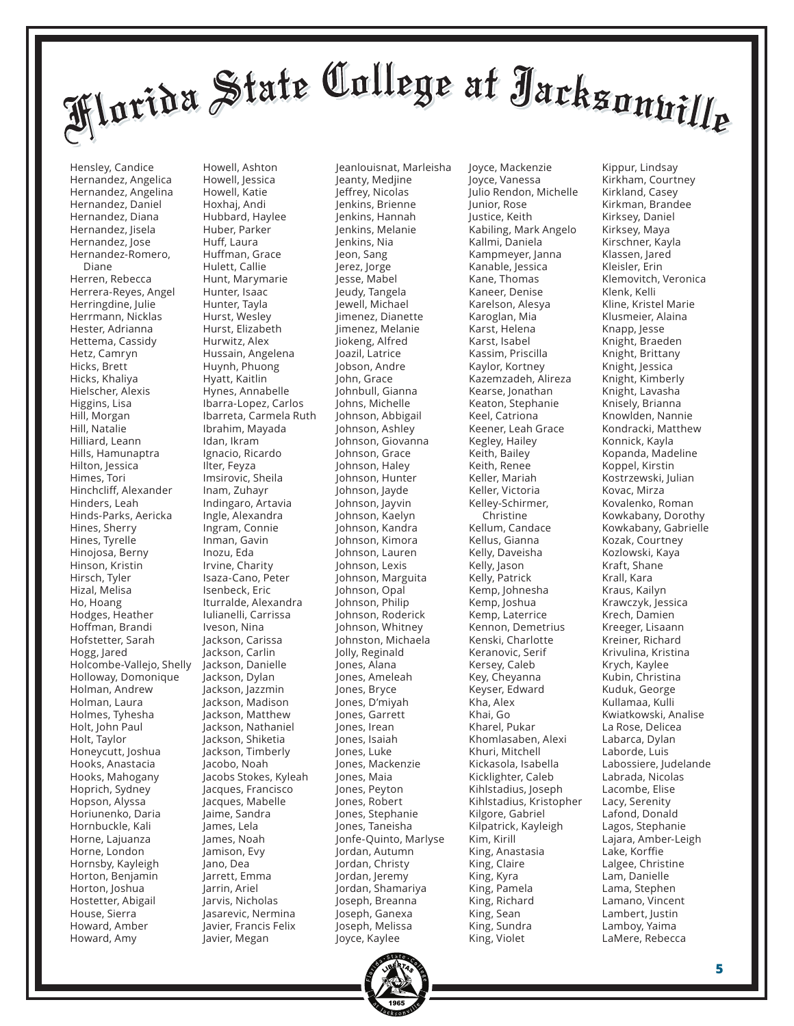Hensley, Candice Hernandez, Angelica Hernandez, Angelina Hernandez, Daniel Hernandez, Diana Hernandez, Jisela Hernandez, Jose Hernandez-Romero, Diane Herren, Rebecca Herrera-Reyes, Angel Herringdine, Julie Herrmann, Nicklas Hester, Adrianna Hettema, Cassidy Hetz, Camryn Hicks, Brett Hicks, Khaliya Hielscher, Alexis Higgins, Lisa Hill, Morgan Hill, Natalie Hilliard, Leann Hills, Hamunaptra Hilton, Jessica Himes, Tori Hinchcliff, Alexander Hinders, Leah Hinds-Parks, Aericka Hines, Sherry Hines, Tyrelle Hinojosa, Berny Hinson, Kristin Hirsch, Tyler Hizal, Melisa Ho, Hoang Hodges, Heather Hoffman, Brandi Hofstetter, Sarah Hogg, Jared Holcombe-Vallejo, Shelly Holloway, Domonique Holman, Andrew Holman, Laura Holmes, Tyhesha Holt, John Paul Holt, Taylor Honeycutt, Joshua Hooks, Anastacia Hooks, Mahogany Hoprich, Sydney Hopson, Alyssa Horiunenko, Daria Hornbuckle, Kali Horne, Lajuanza Horne, London Hornsby, Kayleigh Horton, Benjamin Horton, Joshua Hostetter, Abigail House, Sierra Howard, Amber Howard, Amy

Howell, Jessica Howell, Katie Hoxhaj, Andi Hubbard, Haylee Huber, Parker Huff, Laura Huffman, Grace Hulett, Callie Hunt, Marymarie Hunter, Isaac Hunter, Tayla Hurst, Wesley Hurst, Elizabeth Hurwitz, Alex Hussain, Angelena Huynh, Phuong Hyatt, Kaitlin Hynes, Annabelle Ibarra-Lopez, Carlos Ibarreta, Carmela Ruth Ibrahim, Mayada Idan, Ikram Ignacio, Ricardo Ilter, Feyza Imsirovic, Sheila Inam, Zuhayr Indingaro, Artavia Ingle, Alexandra Ingram, Connie Inman, Gavin Inozu, Eda Irvine, Charity Isaza-Cano, Peter Isenbeck, Eric Iturralde, Alexandra Iulianelli, Carrissa Iveson, Nina Jackson, Carissa Jackson, Carlin Jackson, Danielle Jackson, Dylan Jackson, Jazzmin Jackson, Madison Jackson, Matthew Jackson, Nathaniel Jackson, Shiketia Jackson, Timberly Jacobo, Noah Jacobs Stokes, Kyleah Jacques, Francisco Jacques, Mabelle Jaime, Sandra James, Lela James, Noah Jamison, Evy Jano, Dea Jarrett, Emma Jarrin, Ariel Jarvis, Nicholas Jasarevic, Nermina Javier, Francis Felix Javier, Megan

Howell, Ashton

Jeanlouisnat, Marleisha Jeanty, Medjine Jeffrey, Nicolas Jenkins, Brienne Jenkins, Hannah Jenkins, Melanie Jenkins, Nia Jeon, Sang Jerez, Jorge Jesse, Mabel Jeudy, Tangela Jewell, Michael Jimenez, Dianette Jimenez, Melanie Jiokeng, Alfred Joazil, Latrice Jobson, Andre John, Grace Johnbull, Gianna Johns, Michelle Johnson, Abbigail Johnson, Ashley Johnson, Giovanna Johnson, Grace Johnson, Haley Johnson, Hunter Johnson, Jayde Johnson, Jayvin Johnson, Kaelyn Johnson, Kandra Johnson, Kimora Johnson, Lauren Johnson, Lexis Johnson, Marguita Johnson, Opal Johnson, Philip Johnson, Roderick Johnson, Whitney Johnston, Michaela Jolly, Reginald Jones, Alana Jones, Ameleah Jones, Bryce Jones, D'miyah Jones, Garrett Jones, Irean Jones, Isaiah Jones, Luke Jones, Mackenzie Jones, Maia Jones, Peyton Jones, Robert Jones, Stephanie Jones, Taneisha Jonfe-Quinto, Marlyse Jordan, Autumn Jordan, Christy Jordan, Jeremy Jordan, Shamariya Joseph, Breanna Joseph, Ganexa Joseph, Melissa Joyce, Kaylee

Joyce, Vanessa Julio Rendon, Michelle Junior, Rose Justice, Keith Kabiling, Mark Angelo Kallmi, Daniela Kampmeyer, Janna Kanable, Jessica Kane, Thomas Kaneer, Denise Karelson, Alesya Karoglan, Mia Karst, Helena Karst, Isabel Kassim, Priscilla Kaylor, Kortney Kazemzadeh, Alireza Kearse, Jonathan Keaton, Stephanie Keel, Catriona Keener, Leah Grace Kegley, Hailey Keith, Bailey Keith, Renee Keller, Mariah Keller, Victoria Kelley-Schirmer, Christine Kellum, Candace Kellus, Gianna Kelly, Daveisha Kelly, Jason Kelly, Patrick Kemp, Johnesha Kemp, Joshua Kemp, Laterrice Kennon, Demetrius Kenski, Charlotte Keranovic, Serif Kersey, Caleb Key, Cheyanna Keyser, Edward Kha, Alex Khai, Go Kharel, Pukar Khomlasaben, Alexi Khuri, Mitchell Kickasola, Isabella Kicklighter, Caleb Kihlstadius, Joseph Kihlstadius, Kristopher Kilgore, Gabriel Kilpatrick, Kayleigh Kim, Kirill King, Anastasia King, Claire King, Kyra King, Pamela King, Richard King, Sean King, Sundra King, Violet

Joyce, Mackenzie

Kippur, Lindsay Kirkham, Courtney Kirkland, Casey Kirkman, Brandee Kirksey, Daniel Kirksey, Maya Kirschner, Kayla Klassen, Jared Kleisler, Erin Klemovitch, Veronica Klenk, Kelli Kline, Kristel Marie Klusmeier, Alaina Knapp, Jesse Knight, Braeden Knight, Brittany Knight, Jessica Knight, Kimberly Knight, Lavasha Knisely, Brianna Knowlden, Nannie Kondracki, Matthew Konnick, Kayla Kopanda, Madeline Koppel, Kirstin Kostrzewski, Julian Kovac, Mirza Kovalenko, Roman Kowkabany, Dorothy Kowkabany, Gabrielle Kozak, Courtney Kozlowski, Kaya Kraft, Shane Krall, Kara Kraus, Kailyn Krawczyk, Jessica Krech, Damien Kreeger, Lisaann Kreiner, Richard Krivulina, Kristina Krych, Kaylee Kubin, Christina Kuduk, George Kullamaa, Kulli Kwiatkowski, Analise La Rose, Delicea Labarca, Dylan Laborde, Luis Labossiere, Judelande Labrada, Nicolas Lacombe, Elise Lacy, Serenity Lafond, Donald Lagos, Stephanie Lajara, Amber-Leigh Lake, Korffie Lalgee, Christine Lam, Danielle Lama, Stephen Lamano, Vincent Lambert, Justin Lamboy, Yaima LaMere, Rebecca

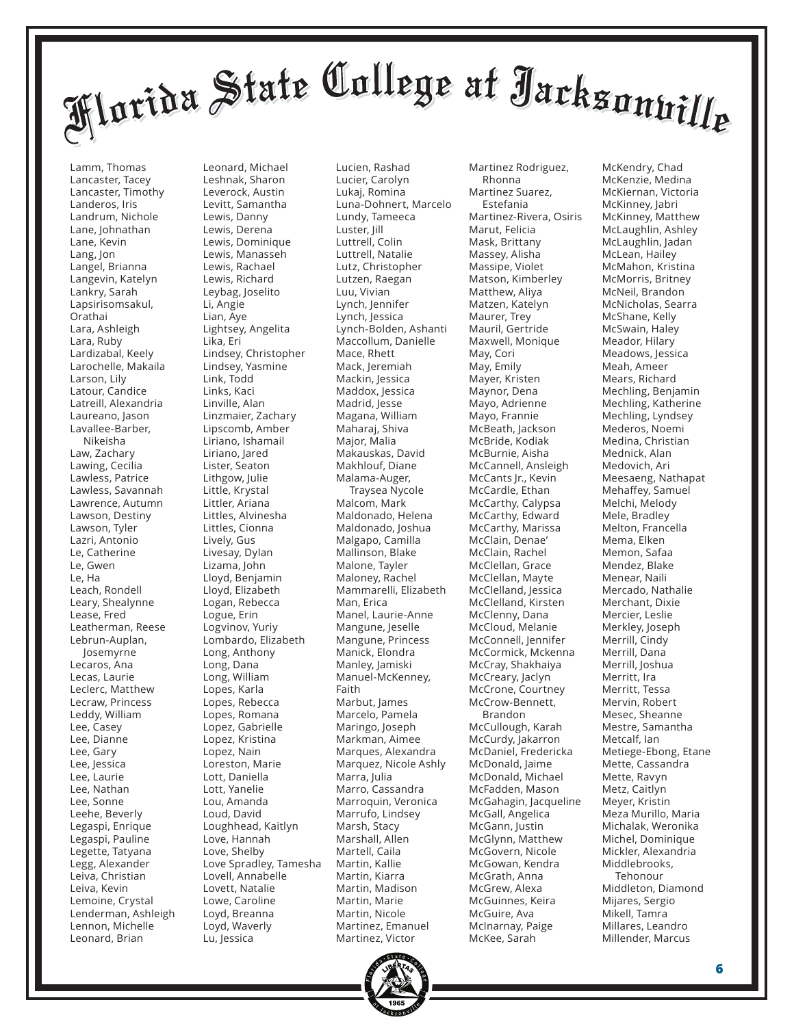Lamm, Thomas Lancaster, Tacey Lancaster, Timothy Landeros, Iris Landrum, Nichole Lane, Johnathan Lane, Kevin Lang, Jon Langel, Brianna Langevin, Katelyn Lankry, Sarah Lapsirisomsakul, Orathai Lara, Ashleigh Lara, Ruby Lardizabal, Keely Larochelle, Makaila Larson, Lily Latour, Candice Latreill, Alexandria Laureano, Jason Lavallee-Barber, Nikeisha Law, Zachary Lawing, Cecilia Lawless, Patrice Lawless, Savannah Lawrence, Autumn Lawson, Destiny Lawson, Tyler Lazri, Antonio Le, Catherine Le, Gwen Le, Ha Leach, Rondell Leary, Shealynne Lease, Fred Leatherman, Reese Lebrun-Auplan, Josemyrne Lecaros, Ana Lecas, Laurie Leclerc, Matthew Lecraw, Princess Leddy, William Lee, Casey Lee, Dianne Lee, Gary Lee, Jessica Lee, Laurie Lee, Nathan Lee, Sonne Leehe, Beverly Legaspi, Enrique Legaspi, Pauline Legette, Tatyana Legg, Alexander Leiva, Christian Leiva, Kevin Lemoine, Crystal Lenderman, Ashleigh Lennon, Michelle Leonard, Brian

Leonard, Michael Leshnak, Sharon Leverock, Austin Levitt, Samantha Lewis, Danny Lewis, Derena Lewis, Dominique Lewis, Manasseh Lewis, Rachael Lewis, Richard Leybag, Joselito Li, Angie Lian, Aye Lightsey, Angelita Lika, Eri Lindsey, Christopher Lindsey, Yasmine Link, Todd Links, Kaci Linville, Alan Linzmaier, Zachary Lipscomb, Amber Liriano, Ishamail Liriano, Jared Lister, Seaton Lithgow, Julie Little, Krystal Littler, Ariana Littles, Alvinesha Littles, Cionna Lively, Gus Livesay, Dylan Lizama, John Lloyd, Benjamin Lloyd, Elizabeth Logan, Rebecca Logue, Erin Logvinov, Yuriy Lombardo, Elizabeth Long, Anthony Long, Dana Long, William Lopes, Karla Lopes, Rebecca Lopes, Romana Lopez, Gabrielle Lopez, Kristina Lopez, Nain Loreston, Marie Lott, Daniella Lott, Yanelie Lou, Amanda Loud, David Loughhead, Kaitlyn Love, Hannah Love, Shelby Love Spradley, Tamesha Lovell, Annabelle Lovett, Natalie Lowe, Caroline Loyd, Breanna Loyd, Waverly Lu, Jessica

Lucien, Rashad Lucier, Carolyn Lukaj, Romina Luna-Dohnert, Marcelo Lundy, Tameeca Luster, Jill Luttrell, Colin Luttrell, Natalie Lutz, Christopher Lutzen, Raegan Luu, Vivian Lynch, Jennifer Lynch, Jessica Lynch-Bolden, Ashanti Maccollum, Danielle Mace, Rhett Mack, Jeremiah Mackin, Jessica Maddox, Jessica Madrid, Jesse Magana, William Maharaj, Shiva Major, Malia Makauskas, David Makhlouf, Diane Malama-Auger, Traysea Nycole Malcom, Mark Maldonado, Helena Maldonado, Joshua Malgapo, Camilla Mallinson, Blake Malone, Tayler Maloney, Rachel Mammarelli, Elizabeth Man, Erica Manel, Laurie-Anne Mangune, Jeselle Mangune, Princess Manick, Elondra Manley, Jamiski Manuel-McKenney, Faith Marbut, James Marcelo, Pamela Maringo, Joseph Markman, Aimee Marques, Alexandra Marquez, Nicole Ashly Marra, Julia Marro, Cassandra Marroquin, Veronica Marrufo, Lindsey Marsh, Stacy Marshall, Allen Martell, Caila Martin, Kallie Martin, Kiarra Martin, Madison Martin, Marie Martin, Nicole Martinez, Emanuel Martinez, Victor

Martinez Rodriguez, Rhonna Martinez Suarez, Estefania Martinez-Rivera, Osiris Marut, Felicia Mask, Brittany Massey, Alisha Massipe, Violet Matson, Kimberley Matthew, Aliya Matzen, Katelyn Maurer, Trey Mauril, Gertride Maxwell, Monique May, Cori May, Emily Mayer, Kristen Maynor, Dena Mayo, Adrienne Mayo, Frannie McBeath, Jackson McBride, Kodiak McBurnie, Aisha McCannell, Ansleigh McCants Jr., Kevin McCardle, Ethan McCarthy, Calypsa McCarthy, Edward McCarthy, Marissa McClain, Denae' McClain, Rachel McClellan, Grace McClellan, Mayte McClelland, Jessica McClelland, Kirsten McClenny, Dana McCloud, Melanie McConnell, Jennifer McCormick, Mckenna McCray, Shakhaiya McCreary, Jaclyn McCrone, Courtney McCrow-Bennett, Brandon McCullough, Karah McCurdy, Jakarron McDaniel, Fredericka McDonald, Jaime McDonald, Michael McFadden, Mason McGahagin, Jacqueline McGall, Angelica McGann, Justin McGlynn, Matthew McGovern, Nicole McGowan, Kendra McGrath, Anna McGrew, Alexa McGuinnes, Keira McGuire, Ava McInarnay, Paige McKee, Sarah

McKendry, Chad McKenzie, Medina McKiernan, Victoria McKinney, Jabri McKinney, Matthew McLaughlin, Ashley McLaughlin, Jadan McLean, Hailey McMahon, Kristina McMorris, Britney McNeil, Brandon McNicholas, Searra McShane, Kelly McSwain, Haley Meador, Hilary Meadows, Jessica Meah, Ameer Mears, Richard Mechling, Benjamin Mechling, Katherine Mechling, Lyndsey Mederos, Noemi Medina, Christian Mednick, Alan Medovich, Ari Meesaeng, Nathapat Mehaffey, Samuel Melchi, Melody Mele, Bradley Melton, Francella Mema, Elken Memon, Safaa Mendez, Blake Menear, Naili Mercado, Nathalie Merchant, Dixie Mercier, Leslie Merkley, Joseph Merrill, Cindy Merrill, Dana Merrill, Joshua Merritt, Ira Merritt, Tessa Mervin, Robert Mesec, Sheanne Mestre, Samantha Metcalf, Ian Metiege-Ebong, Etane Mette, Cassandra Mette, Ravyn Metz, Caitlyn Meyer, Kristin Meza Murillo, Maria Michalak, Weronika Michel, Dominique Mickler, Alexandria Middlebrooks, Tehonour Middleton, Diamond Mijares, Sergio Mikell, Tamra Millares, Leandro Millender, Marcus

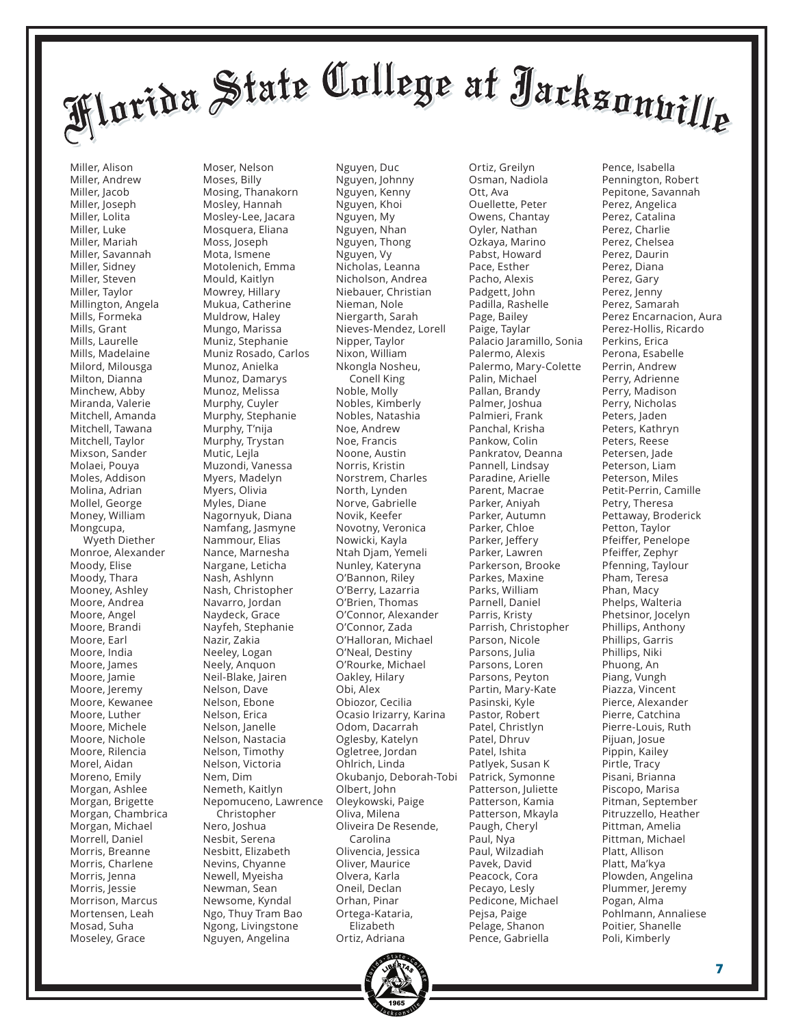Miller, Alison Miller, Andrew Miller, Jacob Miller, Joseph Miller, Lolita Miller, Luke Miller, Mariah Miller, Savannah Miller, Sidney Miller, Steven Miller, Taylor Millington, Angela Mills, Formeka Mills, Grant Mills, Laurelle Mills, Madelaine Milord, Milousga Milton, Dianna Minchew, Abby Miranda, Valerie Mitchell, Amanda Mitchell, Tawana Mitchell, Taylor Mixson, Sander Molaei, Pouya Moles, Addison Molina, Adrian Mollel, George Money, William Mongcupa, Wyeth Diether Monroe, Alexander Moody, Elise Moody, Thara Mooney, Ashley Moore, Andrea Moore, Angel Moore, Brandi Moore, Earl Moore, India Moore, James Moore, Jamie Moore, Jeremy Moore, Kewanee Moore, Luther Moore, Michele Moore, Nichole Moore, Rilencia Morel, Aidan Moreno, Emily Morgan, Ashlee Morgan, Brigette Morgan, Chambrica Morgan, Michael Morrell, Daniel Morris, Breanne Morris, Charlene Morris, Jenna Morris, Jessie Morrison, Marcus Mortensen, Leah Mosad, Suha Moseley, Grace

Moser, Nelson Moses, Billy Mosing, Thanakorn Mosley, Hannah Mosley-Lee, Jacara Mosquera, Eliana Moss, Joseph Mota, Ismene Motolenich, Emma Mould, Kaitlyn Mowrey, Hillary Mukua, Catherine Muldrow, Haley Mungo, Marissa Muniz, Stephanie Muniz Rosado, Carlos Munoz, Anielka Munoz, Damarys Munoz, Melissa Murphy, Cuyler Murphy, Stephanie Murphy, T'nija Murphy, Trystan Mutic, Lejla Muzondi, Vanessa Myers, Madelyn Myers, Olivia Myles, Diane Nagornyuk, Diana Namfang, Jasmyne Nammour, Elias Nance, Marnesha Nargane, Leticha Nash, Ashlynn Nash, Christopher Navarro, Jordan Naydeck, Grace Nayfeh, Stephanie Nazir, Zakia Neeley, Logan Neely, Anquon Neil-Blake, Jairen Nelson, Dave Nelson, Ebone Nelson, Erica Nelson, Janelle Nelson, Nastacia Nelson, Timothy Nelson, Victoria Nem, Dim Nemeth, Kaitlyn Nepomuceno, Lawrence Christopher Nero, Joshua Nesbit, Serena Nesbitt, Elizabeth Nevins, Chyanne Newell, Myeisha Newman, Sean Newsome, Kyndal Ngo, Thuy Tram Bao Ngong, Livingstone Nguyen, Angelina

Nguyen, Duc Nguyen, Johnny Nguyen, Kenny Nguyen, Khoi Nguyen, My Nguyen, Nhan Nguyen, Thong Nguyen, Vy Nicholas, Leanna Nicholson, Andrea Niebauer, Christian Nieman, Nole Niergarth, Sarah Nieves-Mendez, Lorell Nipper, Taylor Nixon, William Nkongla Nosheu, Conell King Noble, Molly Nobles, Kimberly Nobles, Natashia Noe, Andrew Noe, Francis Noone, Austin Norris, Kristin Norstrem, Charles North, Lynden Norve, Gabrielle Novik, Keefer Novotny, Veronica Nowicki, Kayla Ntah Djam, Yemeli Nunley, Kateryna O'Bannon, Riley O'Berry, Lazarria O'Brien, Thomas O'Connor, Alexander O'Connor, Zada O'Halloran, Michael O'Neal, Destiny O'Rourke, Michael Oakley, Hilary Obi, Alex Obiozor, Cecilia Ocasio Irizarry, Karina Odom, Dacarrah Oglesby, Katelyn Ogletree, Jordan Ohlrich, Linda Okubanjo, Deborah-Tobi Olbert, John Oleykowski, Paige Oliva, Milena Oliveira De Resende, Carolina Olivencia, Jessica Oliver, Maurice Olvera, Karla Oneil, Declan Orhan, Pinar Ortega-Kataria, Elizabeth Ortiz, Adriana

Osman, Nadiola Ott, Ava Ouellette, Peter Owens, Chantay Oyler, Nathan Ozkaya, Marino Pabst, Howard Pace, Esther Pacho, Alexis Padgett, John Padilla, Rashelle Page, Bailey Paige, Taylar Palacio Jaramillo, Sonia Palermo, Alexis Palermo, Mary-Colette Palin, Michael Pallan, Brandy Palmer, Joshua Palmieri, Frank Panchal, Krisha Pankow, Colin Pankratov, Deanna Pannell, Lindsay Paradine, Arielle Parent, Macrae Parker, Aniyah Parker, Autumn Parker, Chloe Parker, Jeffery Parker, Lawren Parkerson, Brooke Parkes, Maxine Parks, William Parnell, Daniel Parris, Kristy Parrish, Christopher Parson, Nicole Parsons, Julia Parsons, Loren Parsons, Peyton Partin, Mary-Kate Pasinski, Kyle Pastor, Robert Patel, Christlyn Patel, Dhruv Patel, Ishita Patlyek, Susan K Patrick, Symonne Patterson, Juliette Patterson, Kamia Patterson, Mkayla Paugh, Cheryl Paul, Nya Paul, Wilzadiah Pavek, David Peacock, Cora Pecayo, Lesly Pedicone, Michael Pejsa, Paige Pelage, Shanon Pence, Gabriella

Ortiz, Greilyn

Pence, Isabella Pennington, Robert Pepitone, Savannah Perez, Angelica Perez, Catalina Perez, Charlie Perez, Chelsea Perez, Daurin Perez, Diana Perez, Gary Perez, Jenny Perez, Samarah Perez Encarnacion, Aura Perez-Hollis, Ricardo Perkins, Erica Perona, Esabelle Perrin, Andrew Perry, Adrienne Perry, Madison Perry, Nicholas Peters, Jaden Peters, Kathryn Peters, Reese Petersen, Jade Peterson, Liam Peterson, Miles Petit-Perrin, Camille Petry, Theresa Pettaway, Broderick Petton, Taylor Pfeiffer, Penelope Pfeiffer, Zephyr Pfenning, Taylour Pham, Teresa Phan, Macy Phelps, Walteria Phetsinor, Jocelyn Phillips, Anthony Phillips, Garris Phillips, Niki Phuong, An Piang, Vungh Piazza, Vincent Pierce, Alexander Pierre, Catchina Pierre-Louis, Ruth Pijuan, Josue Pippin, Kailey Pirtle, Tracy Pisani, Brianna Piscopo, Marisa Pitman, September Pitruzzello, Heather Pittman, Amelia Pittman, Michael Platt, Allison Platt, Ma'kya Plowden, Angelina Plummer, Jeremy Pogan, Alma Pohlmann, Annaliese Poitier, Shanelle Poli, Kimberly

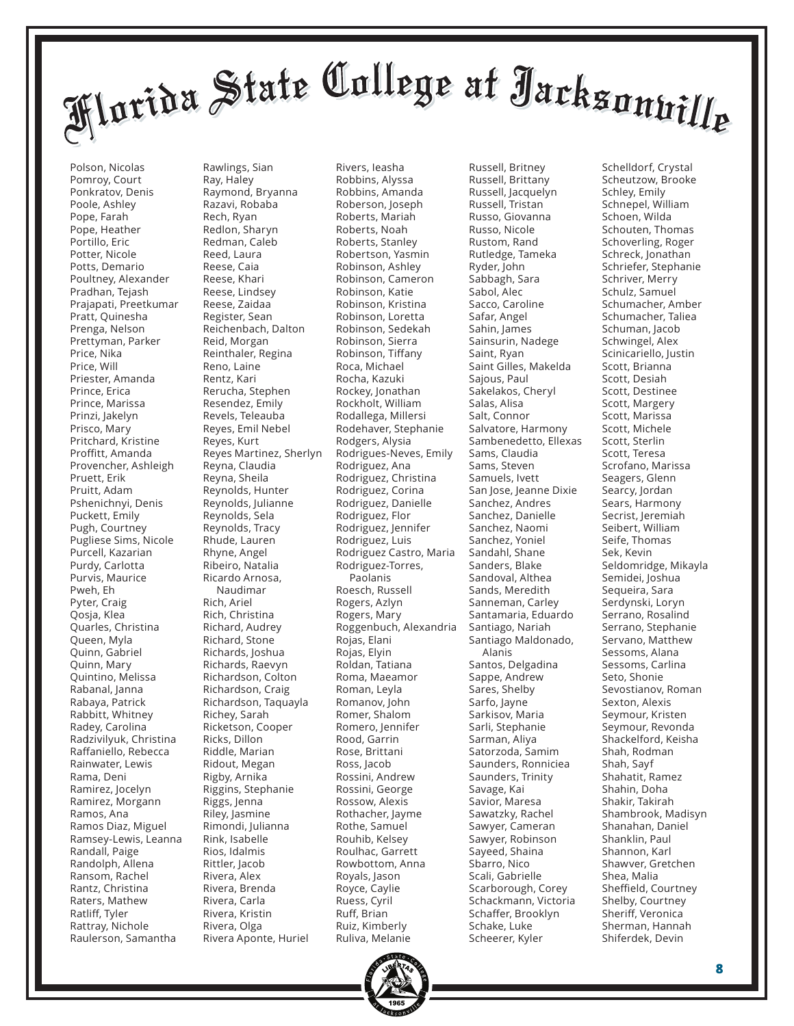Polson, Nicolas Pomroy, Court Ponkratov, Denis Poole, Ashley Pope, Farah Pope, Heather Portillo, Eric Potter, Nicole Potts, Demario Poultney, Alexander Pradhan, Tejash Prajapati, Preetkumar Pratt, Quinesha Prenga, Nelson Prettyman, Parker Price, Nika Price, Will Priester, Amanda Prince, Erica Prince, Marissa Prinzi, Jakelyn Prisco, Mary Pritchard, Kristine Proffitt, Amanda Provencher, Ashleigh Pruett, Erik Pruitt, Adam Pshenichnyi, Denis Puckett, Emily Pugh, Courtney Pugliese Sims, Nicole Purcell, Kazarian Purdy, Carlotta Purvis, Maurice Pweh, Eh Pyter, Craig Qosja, Klea Quarles, Christina Queen, Myla Quinn, Gabriel Quinn, Mary Quintino, Melissa Rabanal, Janna Rabaya, Patrick Rabbitt, Whitney Radey, Carolina Radzivilyuk, Christina Raffaniello, Rebecca Rainwater, Lewis Rama, Deni Ramirez, Jocelyn Ramirez, Morgann Ramos, Ana Ramos Diaz, Miguel Ramsey-Lewis, Leanna Randall, Paige Randolph, Allena Ransom, Rachel Rantz, Christina Raters, Mathew Ratliff, Tyler Rattray, Nichole Raulerson, Samantha

Rawlings, Sian Ray, Haley Raymond, Bryanna Razavi, Robaba Rech, Ryan Redlon, Sharyn Redman, Caleb Reed, Laura Reese, Caia Reese, Khari Reese, Lindsey Reese, Zaidaa Register, Sean Reichenbach, Dalton Reid, Morgan Reinthaler, Regina Reno, Laine Rentz, Kari Rerucha, Stephen Resendez, Emily Revels, Teleauba Reyes, Emil Nebel Reyes, Kurt Reyes Martinez, Sherlyn Reyna, Claudia Reyna, Sheila Reynolds, Hunter Reynolds, Julianne Reynolds, Sela Reynolds, Tracy Rhude, Lauren Rhyne, Angel Ribeiro, Natalia Ricardo Arnosa, Naudimar Rich, Ariel Rich, Christina Richard, Audrey Richard, Stone Richards, Joshua Richards, Raevyn Richardson, Colton Richardson, Craig Richardson, Taquayla Richey, Sarah Ricketson, Cooper Ricks, Dillon Riddle, Marian Ridout, Megan Rigby, Arnika Riggins, Stephanie Riggs, Jenna Riley, Jasmine Rimondi, Julianna Rink, Isabelle Rios, Idalmis Rittler, Jacob Rivera, Alex Rivera, Brenda Rivera, Carla Rivera, Kristin Rivera, Olga Rivera Aponte, Huriel

Rivers, Ieasha Robbins, Alyssa Robbins, Amanda Roberson, Joseph Roberts, Mariah Roberts, Noah Roberts, Stanley Robertson, Yasmin Robinson, Ashley Robinson, Cameron Robinson, Katie Robinson, Kristina Robinson, Loretta Robinson, Sedekah Robinson, Sierra Robinson, Tiffany Roca, Michael Rocha, Kazuki Rockey, Jonathan Rockholt, William Rodallega, Millersi Rodehaver, Stephanie Rodgers, Alysia Rodrigues-Neves, Emily Rodriguez, Ana Rodriguez, Christina Rodriguez, Corina Rodriguez, Danielle Rodriguez, Flor Rodriguez, Jennifer Rodriguez, Luis Rodriguez Castro, Maria Rodriguez-Torres, Paolanis Roesch, Russell Rogers, Azlyn Rogers, Mary Roggenbuch, Alexandria Rojas, Elani Rojas, Elyin Roldan, Tatiana Roma, Maeamor Roman, Leyla Romanov, John Romer, Shalom Romero, Jennifer Rood, Garrin Rose, Brittani Ross, Jacob Rossini, Andrew Rossini, George Rossow, Alexis Rothacher, Jayme Rothe, Samuel Rouhib, Kelsey Roulhac, Garrett Rowbottom, Anna Royals, Jason Royce, Caylie Ruess, Cyril Ruff, Brian Ruiz, Kimberly Ruliva, Melanie

Russell, Brittany Russell, Jacquelyn Russell, Tristan Russo, Giovanna Russo, Nicole Rustom, Rand Rutledge, Tameka Ryder, John Sabbagh, Sara Sabol, Alec Sacco, Caroline Safar, Angel Sahin, James Sainsurin, Nadege Saint, Ryan Saint Gilles, Makelda Sajous, Paul Sakelakos, Cheryl Salas, Alisa Salt, Connor Salvatore, Harmony Sambenedetto, Ellexas Sams, Claudia Sams, Steven Samuels, Ivett San Jose, Jeanne Dixie Sanchez, Andres Sanchez, Danielle Sanchez, Naomi Sanchez, Yoniel Sandahl, Shane Sanders, Blake Sandoval, Althea Sands, Meredith Sanneman, Carley Santamaria, Eduardo Santiago, Nariah Santiago Maldonado, Alanis Santos, Delgadina Sappe, Andrew Sares, Shelby Sarfo, Jayne Sarkisov, Maria Sarli, Stephanie Sarman, Aliya Satorzoda, Samim Saunders, Ronniciea Saunders, Trinity Savage, Kai Savior, Maresa Sawatzky, Rachel Sawyer, Cameran Sawyer, Robinson Sayeed, Shaina Sbarro, Nico Scali, Gabrielle Scarborough, Corey Schackmann, Victoria Schaffer, Brooklyn Schake, Luke Scheerer, Kyler

Russell, Britney

Schelldorf, Crystal Scheutzow, Brooke Schley, Emily Schnepel, William Schoen, Wilda Schouten, Thomas Schoverling, Roger Schreck, Jonathan Schriefer, Stephanie Schriver, Merry Schulz, Samuel Schumacher, Amber Schumacher, Taliea Schuman, Jacob Schwingel, Alex Scinicariello, Justin Scott, Brianna Scott, Desiah Scott, Destinee Scott, Margery Scott, Marissa Scott, Michele Scott, Sterlin Scott, Teresa Scrofano, Marissa Seagers, Glenn Searcy, Jordan Sears, Harmony Secrist, Jeremiah Seibert, William Seife, Thomas Sek, Kevin Seldomridge, Mikayla Semidei, Joshua Sequeira, Sara Serdynski, Loryn Serrano, Rosalind Serrano, Stephanie Servano, Matthew Sessoms, Alana Sessoms, Carlina Seto, Shonie Sevostianov, Roman Sexton, Alexis Seymour, Kristen Seymour, Revonda Shackelford, Keisha Shah, Rodman Shah, Sayf Shahatit, Ramez Shahin, Doha Shakir, Takirah Shambrook, Madisyn Shanahan, Daniel Shanklin, Paul Shannon, Karl Shawver, Gretchen Shea, Malia Sheffield, Courtney Shelby, Courtney Sheriff, Veronica Sherman, Hannah Shiferdek, Devin

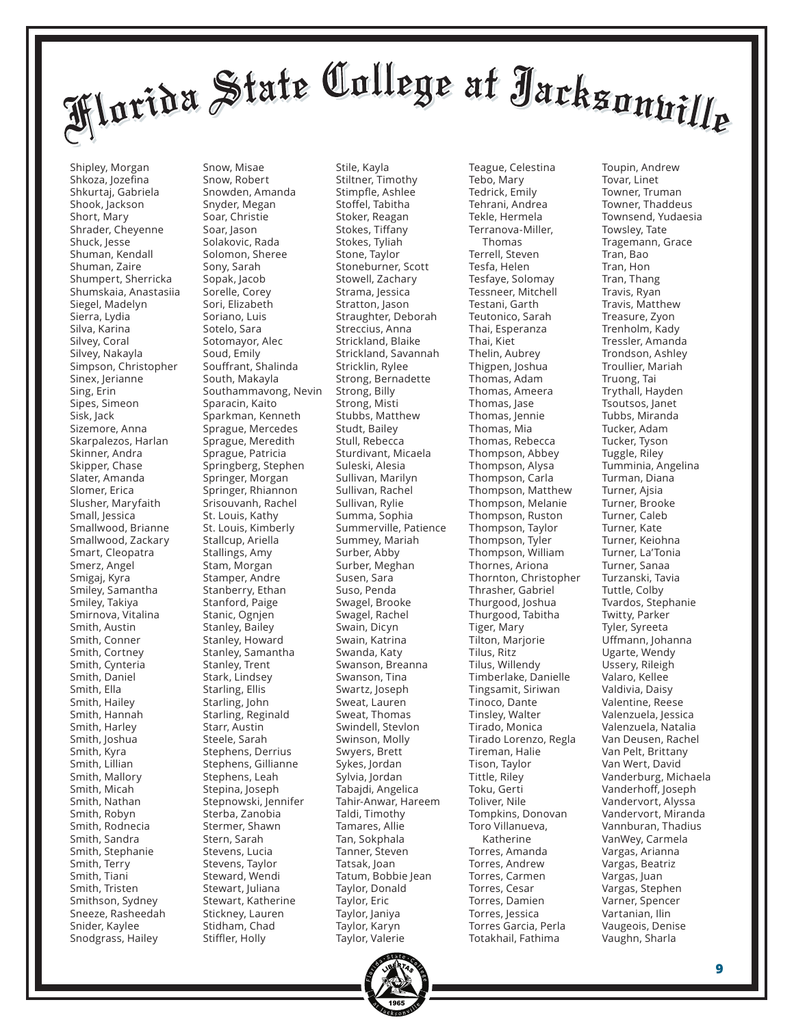Shipley, Morgan Shkoza, Jozefina Shkurtaj, Gabriela Shook, Jackson Short, Mary Shrader, Cheyenne Shuck, Jesse Shuman, Kendall Shuman, Zaire Shumpert, Sherricka Shumskaia, Anastasiia Siegel, Madelyn Sierra, Lydia Silva, Karina Silvey, Coral Silvey, Nakayla Simpson, Christopher Sinex, Jerianne Sing, Erin Sipes, Simeon Sisk, Jack Sizemore, Anna Skarpalezos, Harlan Skinner, Andra Skipper, Chase Slater, Amanda Slomer, Erica Slusher, Maryfaith Small, Jessica Smallwood, Brianne Smallwood, Zackary Smart, Cleopatra Smerz, Angel Smigaj, Kyra Smiley, Samantha Smiley, Takiya Smirnova, Vitalina Smith, Austin Smith, Conner Smith, Cortney Smith, Cynteria Smith, Daniel Smith, Ella Smith, Hailey Smith, Hannah Smith, Harley Smith, Joshua Smith, Kyra Smith, Lillian Smith, Mallory Smith, Micah Smith, Nathan Smith, Robyn Smith, Rodnecia Smith, Sandra Smith, Stephanie Smith, Terry Smith, Tiani Smith, Tristen Smithson, Sydney Sneeze, Rasheedah Snider, Kaylee Snodgrass, Hailey

Snow, Misae Snow, Robert Snowden, Amanda Snyder, Megan Soar, Christie Soar, Jason Solakovic, Rada Solomon, Sheree Sony, Sarah Sopak, Jacob Sorelle, Corey Sori, Elizabeth Soriano, Luis Sotelo, Sara Sotomayor, Alec Soud, Emily Souffrant, Shalinda South, Makayla Southammavong, Nevin Sparacin, Kaito Sparkman, Kenneth Sprague, Mercedes Sprague, Meredith Sprague, Patricia Springberg, Stephen Springer, Morgan Springer, Rhiannon Srisouvanh, Rachel St. Louis, Kathy St. Louis, Kimberly Stallcup, Ariella Stallings, Amy Stam, Morgan Stamper, Andre Stanberry, Ethan Stanford, Paige Stanic, Ognjen Stanley, Bailey Stanley, Howard Stanley, Samantha Stanley, Trent Stark, Lindsey Starling, Ellis Starling, John Starling, Reginald Starr, Austin Steele, Sarah Stephens, Derrius Stephens, Gillianne Stephens, Leah Stepina, Joseph Stepnowski, Jennifer Sterba, Zanobia Stermer, Shawn Stern, Sarah Stevens, Lucia Stevens, Taylor Steward, Wendi Stewart, Juliana Stewart, Katherine Stickney, Lauren Stidham, Chad Stiffler, Holly

Stile, Kayla Stiltner, Timothy Stimpfle, Ashlee Stoffel, Tabitha Stoker, Reagan Stokes, Tiffany Stokes, Tyliah Stone, Taylor Stoneburner, Scott Stowell, Zachary Strama, Jessica Stratton, Jason Straughter, Deborah Streccius, Anna Strickland, Blaike Strickland, Savannah Stricklin, Rylee Strong, Bernadette Strong, Billy Strong, Misti Stubbs, Matthew Studt, Bailey Stull, Rebecca Sturdivant, Micaela Suleski, Alesia Sullivan, Marilyn Sullivan, Rachel Sullivan, Rylie Summa, Sophia Summerville, Patience Summey, Mariah Surber, Abby Surber, Meghan Susen, Sara Suso, Penda Swagel, Brooke Swagel, Rachel Swain, Dicyn Swain, Katrina Swanda, Katy Swanson, Breanna Swanson, Tina Swartz, Joseph Sweat, Lauren Sweat, Thomas Swindell, Stevlon Swinson, Molly Swyers, Brett Sykes, Jordan Sylvia, Jordan Tabajdi, Angelica Tahir-Anwar, Hareem Taldi, Timothy Tamares, Allie Tan, Sokphala Tanner, Steven Tatsak, Joan Tatum, Bobbie Jean Taylor, Donald Taylor, Eric Taylor, Janiya Taylor, Karyn Taylor, Valerie

Tebo, Mary Tedrick, Emily Tehrani, Andrea Tekle, Hermela Terranova-Miller, Thomas Terrell, Steven Tesfa, Helen Tesfaye, Solomay Tessneer, Mitchell Testani, Garth Teutonico, Sarah Thai, Esperanza Thai, Kiet Thelin, Aubrey Thigpen, Joshua Thomas, Adam Thomas, Ameera Thomas, Jase Thomas, Jennie Thomas, Mia Thomas, Rebecca Thompson, Abbey Thompson, Alysa Thompson, Carla Thompson, Matthew Thompson, Melanie Thompson, Ruston Thompson, Taylor Thompson, Tyler Thompson, William Thornes, Ariona Thornton, Christopher Thrasher, Gabriel Thurgood, Joshua Thurgood, Tabitha Tiger, Mary Tilton, Marjorie Tilus, Ritz Tilus, Willendy Timberlake, Danielle Tingsamit, Siriwan Tinoco, Dante Tinsley, Walter Tirado, Monica Tirado Lorenzo, Regla Tireman, Halie Tison, Taylor Tittle, Riley Toku, Gerti Toliver, Nile Tompkins, Donovan Toro Villanueva, Katherine Torres, Amanda Torres, Andrew Torres, Carmen Torres, Cesar Torres, Damien Torres, Jessica Torres Garcia, Perla Totakhail, Fathima

Teague, Celestina



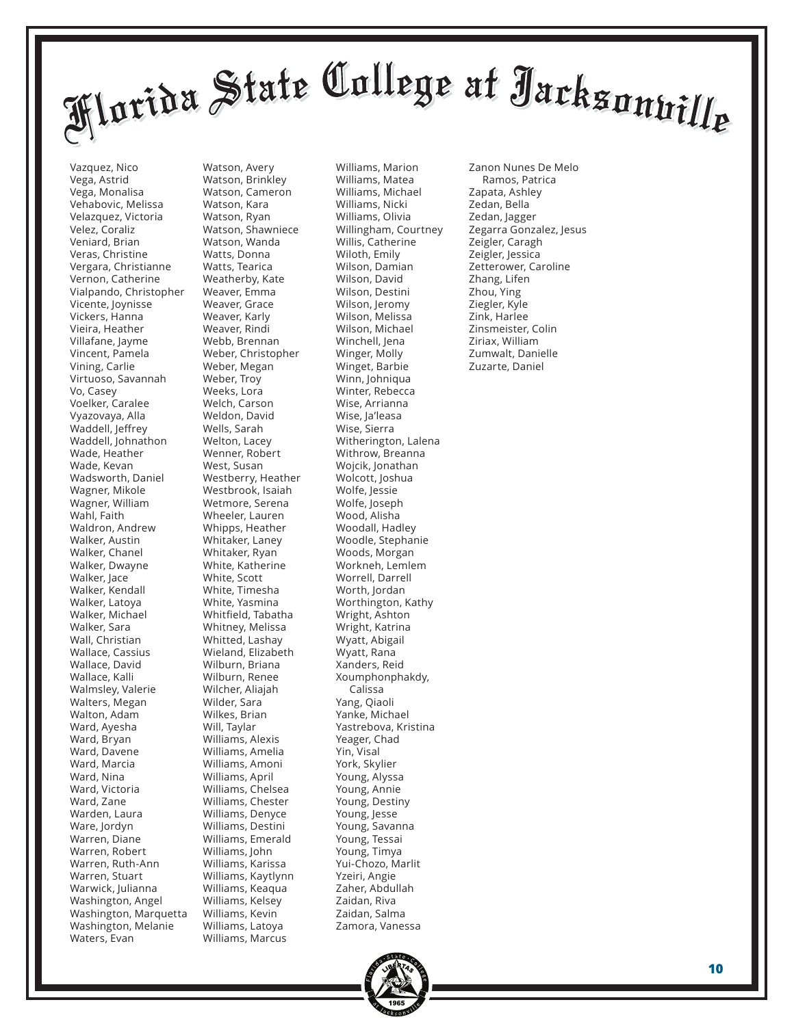Vazquez, Nico Vega, Astrid Vega, Monalisa Vehabovic, Melissa Velazquez, Victoria Velez, Coraliz Veniard, Brian Veras, Christine Vergara, Christianne Vernon, Catherine Vialpando, Christopher Vicente, Joynisse Vickers, Hanna Vieira, Heather Villafane, Jayme Vincent, Pamela Vining, Carlie Virtuoso, Savannah Vo, Casey Voelker, Caralee Vyazovaya, Alla Waddell, Jeffrey Waddell, Johnathon Wade, Heather Wade, Kevan Wadsworth, Daniel Wagner, Mikole Wagner, William Wahl, Faith Waldron, Andrew Walker, Austin Walker, Chanel Walker, Dwayne Walker, Jace Walker, Kendall Walker, Latoya Walker, Michael Walker, Sara Wall, Christian Wallace, Cassius Wallace, David Wallace, Kalli Walmsley, Valerie Walters, Megan Walton, Adam Ward, Ayesha Ward, Bryan Ward, Davene Ward, Marcia Ward, Nina Ward, Victoria Ward, Zane Warden, Laura Ware, Jordyn Warren, Diane Warren, Robert Warren, Ruth-Ann Warren, Stuart Warwick, Julianna Washington, Angel Washington, Marquetta Washington, Melanie Waters, Evan

Watson, Avery Watson, Brinkley Watson, Cameron Watson, Kara Watson, Ryan Watson, Shawniece Watson, Wanda Watts, Donna Watts, Tearica Weatherby, Kate Weaver, Emma Weaver, Grace Weaver, Karly Weaver, Rindi Webb, Brennan Weber, Christopher Weber, Megan Weber, Troy Weeks, Lora Welch, Carson Weldon, David Wells, Sarah Welton, Lacey Wenner, Robert West, Susan Westberry, Heather Westbrook, Isaiah Wetmore, Serena Wheeler, Lauren Whipps, Heather Whitaker, Laney Whitaker, Ryan White, Katherine White, Scott White, Timesha White, Yasmina Whitfield, Tabatha Whitney, Melissa Whitted, Lashay Wieland, Elizabeth Wilburn, Briana Wilburn, Renee Wilcher, Aliajah Wilder, Sara Wilkes, Brian Will, Taylar Williams, Alexis Williams, Amelia Williams, Amoni Williams, April Williams, Chelsea Williams, Chester Williams, Denyce Williams, Destini Williams, Emerald Williams, John Williams, Karissa Williams, Kaytlynn Williams, Keaqua Williams, Kelsey Williams, Kevin Williams, Latoya Williams, Marcus

Williams, Marion Williams, Matea Williams, Michael Williams, Nicki Williams, Olivia Willingham, Courtney Willis, Catherine Wiloth, Emily Wilson, Damian Wilson, David Wilson, Destini Wilson, Jeromy Wilson, Melissa Wilson, Michael Winchell, Jena Winger, Molly Winget, Barbie Winn, Johniqua Winter, Rebecca Wise, Arrianna Wise, Ja'leasa Wise, Sierra Witherington, Lalena Withrow, Breanna Wojcik, Jonathan Wolcott, Joshua Wolfe, Jessie Wolfe, Joseph Wood, Alisha Woodall, Hadley Woodle, Stephanie Woods, Morgan Workneh, Lemlem Worrell, Darrell Worth, Jordan Worthington, Kathy Wright, Ashton Wright, Katrina Wyatt, Abigail Wyatt, Rana Xanders, Reid Xoumphonphakdy, Calissa Yang, Qiaoli Yanke, Michael Yastrebova, Kristina Yeager, Chad Yin, Visal York, Skylier Young, Alyssa Young, Annie Young, Destiny Young, Jesse Young, Savanna Young, Tessai Young, Timya Yui-Chozo, Marlit Yzeiri, Angie Zaher, Abdullah Zaidan, Riva Zaidan, Salma Zamora, Vanessa

Zanon Nunes De Melo Ramos, Patrica Zapata, Ashley Zedan, Bella Zedan, Jagger Zegarra Gonzalez, Jesus Zeigler, Caragh Zeigler, Jessica Zetterower, Caroline Zhang, Lifen Zhou, Ying Ziegler, Kyle Zink, Harlee Zinsmeister, Colin Ziriax, William Zumwalt, Danielle Zuzarte, Daniel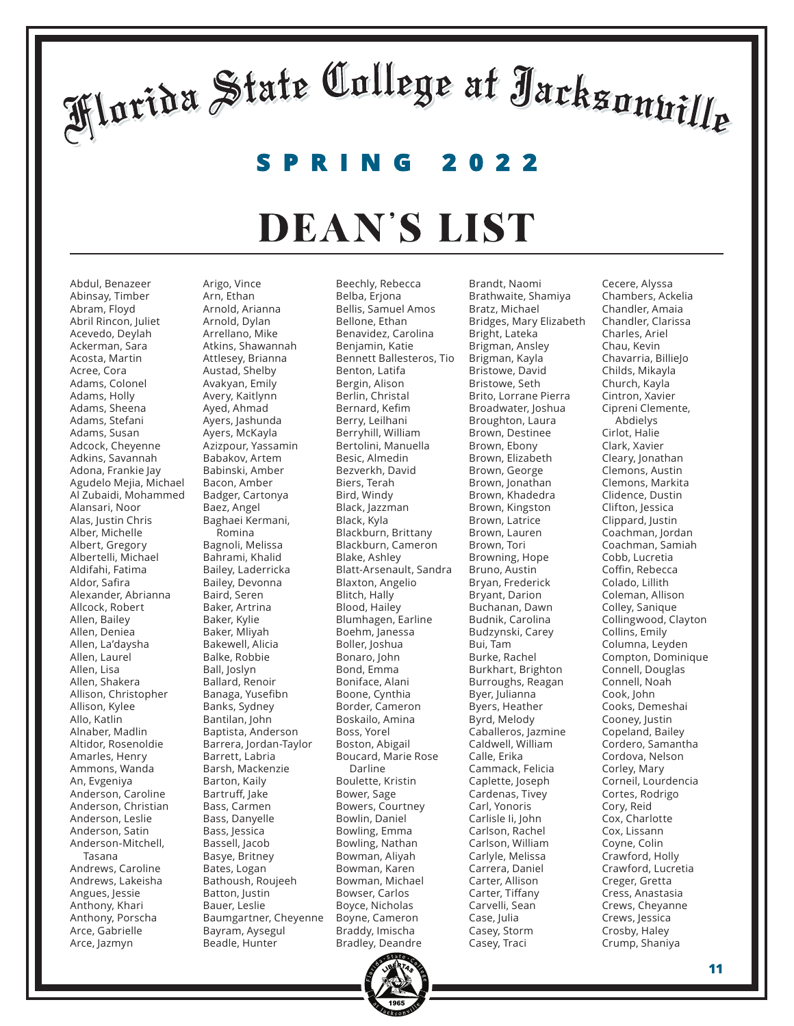**SPRING 2022**

#### DEAN'S LIST

Abdul, Benazeer Abinsay, Timber Abram, Floyd Abril Rincon, Juliet Acevedo, Deylah Ackerman, Sara Acosta, Martin Acree, Cora Adams, Colonel Adams, Holly Adams, Sheena Adams, Stefani Adams, Susan Adcock, Cheyenne Adkins, Savannah Adona, Frankie Jay Agudelo Mejia, Michael Al Zubaidi, Mohammed Alansari, Noor Alas, Justin Chris Alber, Michelle Albert, Gregory Albertelli, Michael Aldifahi, Fatima Aldor, Safira Alexander, Abrianna Allcock, Robert Allen, Bailey Allen, Deniea Allen, La'daysha Allen, Laurel Allen, Lisa Allen, Shakera Allison, Christopher Allison, Kylee Allo, Katlin Alnaber, Madlin Altidor, Rosenoldie Amarles, Henry Ammons, Wanda An, Evgeniya Anderson, Caroline Anderson, Christian Anderson, Leslie Anderson, Satin Anderson-Mitchell, Tasana Andrews, Caroline Andrews, Lakeisha Angues, Jessie Anthony, Khari Anthony, Porscha Arce, Gabrielle Arce, Jazmyn

Arigo, Vince Arn, Ethan Arnold, Arianna Arnold, Dylan Arrellano, Mike Atkins, Shawannah Attlesey, Brianna Austad, Shelby Avakyan, Emily Avery, Kaitlynn Ayed, Ahmad Ayers, Jashunda Ayers, McKayla Azizpour, Yassamin Babakov, Artem Babinski, Amber Bacon, Amber Badger, Cartonya Baez, Angel Baghaei Kermani, Romina Bagnoli, Melissa Bahrami, Khalid Bailey, Laderricka Bailey, Devonna Baird, Seren Baker, Artrina Baker, Kylie Baker, Mliyah Bakewell, Alicia Balke, Robbie Ball, Joslyn Ballard, Renoir Banaga, Yusefibn Banks, Sydney Bantilan, John Baptista, Anderson Barrera, Jordan-Taylor Barrett, Labria Barsh, Mackenzie Barton, Kaily Bartruff, Jake Bass, Carmen Bass, Danyelle Bass, Jessica Bassell, Jacob Basye, Britney Bates, Logan Bathoush, Roujeeh Batton, Justin Bauer, Leslie Baumgartner, Cheyenne Bayram, Aysegul Beadle, Hunter

Beechly, Rebecca Belba, Erjona Bellis, Samuel Amos Bellone, Ethan Benavidez, Carolina Benjamin, Katie Bennett Ballesteros, Tio Benton, Latifa Bergin, Alison Berlin, Christal Bernard, Kefim Berry, Leilhani Berryhill, William Bertolini, Manuella Besic, Almedin Bezverkh, David Biers, Terah Bird, Windy Black, Jazzman Black, Kyla Blackburn, Brittany Blackburn, Cameron Blake, Ashley Blatt-Arsenault, Sandra Blaxton, Angelio Blitch, Hally Blood, Hailey Blumhagen, Earline Boehm, Janessa Boller, Joshua Bonaro, John Bond, Emma Boniface, Alani Boone, Cynthia Border, Cameron Boskailo, Amina Boss, Yorel Boston, Abigail Boucard, Marie Rose Darline Boulette, Kristin Bower, Sage Bowers, Courtney Bowlin, Daniel Bowling, Emma Bowling, Nathan Bowman, Aliyah Bowman, Karen Bowman, Michael Bowser, Carlos Boyce, Nicholas Boyne, Cameron Braddy, Imischa Bradley, Deandre

Brandt, Naomi Brathwaite, Shamiya Bratz, Michael Bridges, Mary Elizabeth Bright, Lateka Brigman, Ansley Brigman, Kayla Bristowe, David Bristowe, Seth Brito, Lorrane Pierra Broadwater, Joshua Broughton, Laura Brown, Destinee Brown, Ebony Brown, Elizabeth Brown, George Brown, Jonathan Brown, Khadedra Brown, Kingston Brown, Latrice Brown, Lauren Brown, Tori Browning, Hope Bruno, Austin Bryan, Frederick Bryant, Darion Buchanan, Dawn Budnik, Carolina Budzynski, Carey Bui, Tam Burke, Rachel Burkhart, Brighton Burroughs, Reagan Byer, Julianna Byers, Heather Byrd, Melody Caballeros, Jazmine Caldwell, William Calle, Erika Cammack, Felicia Caplette, Joseph Cardenas, Tivey Carl, Yonoris Carlisle Ii, John Carlson, Rachel Carlson, William Carlyle, Melissa Carrera, Daniel Carter, Allison Carter, Tiffany Carvelli, Sean Case, Julia Casey, Storm Casey, Traci

Cecere, Alyssa Chambers, Ackelia Chandler, Amaia Chandler, Clarissa Charles, Ariel Chau, Kevin Chavarria, BillieJo Childs, Mikayla Church, Kayla Cintron, Xavier Cipreni Clemente, Abdielys Cirlot, Halie Clark, Xavier Cleary, Jonathan Clemons, Austin Clemons, Markita Clidence, Dustin Clifton, Jessica Clippard, Justin Coachman, Jordan Coachman, Samiah Cobb, Lucretia Coffin, Rebecca Colado, Lillith Coleman, Allison Colley, Sanique Collingwood, Clayton Collins, Emily Columna, Leyden Compton, Dominique Connell, Douglas Connell, Noah Cook, John Cooks, Demeshai Cooney, Justin Copeland, Bailey Cordero, Samantha Cordova, Nelson Corley, Mary Corneil, Lourdencia Cortes, Rodrigo Cory, Reid Cox, Charlotte Cox, Lissann Coyne, Colin Crawford, Holly Crawford, Lucretia Creger, Gretta Cress, Anastasia Crews, Cheyanne Crews, Jessica Crosby, Haley Crump, Shaniya

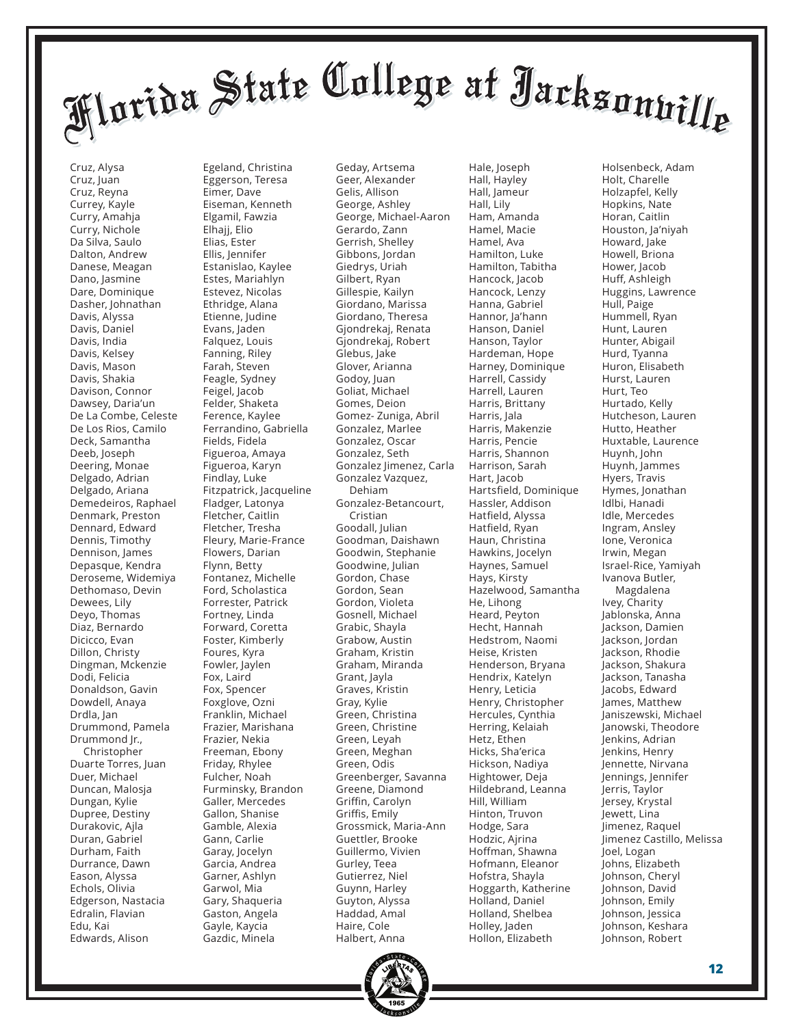Cruz, Alysa Cruz, Juan Cruz, Reyna Currey, Kayle Curry, Amahja Curry, Nichole Da Silva, Saulo Dalton, Andrew Danese, Meagan Dano, Jasmine Dare, Dominique Dasher, Johnathan Davis, Alyssa Davis, Daniel Davis, India Davis, Kelsey Davis, Mason Davis, Shakia Davison, Connor Dawsey, Daria'un De La Combe, Celeste De Los Rios, Camilo Deck, Samantha Deeb, Joseph Deering, Monae Delgado, Adrian Delgado, Ariana Demedeiros, Raphael Denmark, Preston Dennard, Edward Dennis, Timothy Dennison, James Depasque, Kendra Deroseme, Widemiya Dethomaso, Devin Dewees, Lily Deyo, Thomas Diaz, Bernardo Dicicco, Evan Dillon, Christy Dingman, Mckenzie Dodi, Felicia Donaldson, Gavin Dowdell, Anaya Drdla, Jan Drummond, Pamela Drummond Jr., Christopher Duarte Torres, Juan Duer, Michael Duncan, Malosja Dungan, Kylie Dupree, Destiny Durakovic, Ajla Duran, Gabriel Durham, Faith Durrance, Dawn Eason, Alyssa Echols, Olivia Edgerson, Nastacia Edralin, Flavian Edu, Kai Edwards, Alison

Egeland, Christina Eggerson, Teresa Eimer, Dave Eiseman, Kenneth Elgamil, Fawzia Elhajj, Elio Elias, Ester Ellis, Jennifer Estanislao, Kaylee Estes, Mariahlyn Estevez, Nicolas Ethridge, Alana Etienne, Judine Evans, Jaden Falquez, Louis Fanning, Riley Farah, Steven Feagle, Sydney Feigel, Jacob Felder, Shaketa Ference, Kaylee Ferrandino, Gabriella Fields, Fidela Figueroa, Amaya Figueroa, Karyn Findlay, Luke Fitzpatrick, Jacqueline Fladger, Latonya Fletcher, Caitlin Fletcher, Tresha Fleury, Marie-France Flowers, Darian Flynn, Betty Fontanez, Michelle Ford, Scholastica Forrester, Patrick Fortney, Linda Forward, Coretta Foster, Kimberly Foures, Kyra Fowler, Jaylen Fox, Laird Fox, Spencer Foxglove, Ozni Franklin, Michael Frazier, Marishana Frazier, Nekia Freeman, Ebony Friday, Rhylee Fulcher, Noah Furminsky, Brandon Galler, Mercedes Gallon, Shanise Gamble, Alexia Gann, Carlie Garay, Jocelyn Garcia, Andrea Garner, Ashlyn Garwol, Mia Gary, Shaqueria Gaston, Angela Gayle, Kaycia Gazdic, Minela

Geday, Artsema Geer, Alexander Gelis, Allison George, Ashley George, Michael-Aaron Gerardo, Zann Gerrish, Shelley Gibbons, Jordan Giedrys, Uriah Gilbert, Ryan Gillespie, Kailyn Giordano, Marissa Giordano, Theresa Gjondrekaj, Renata Gjondrekaj, Robert Glebus, Jake Glover, Arianna Godoy, Juan Goliat, Michael Gomes, Deion Gomez- Zuniga, Abril Gonzalez, Marlee Gonzalez, Oscar Gonzalez, Seth Gonzalez Jimenez, Carla Gonzalez Vazquez, Dehiam Gonzalez-Betancourt, Cristian Goodall, Julian Goodman, Daishawn Goodwin, Stephanie Goodwine, Julian Gordon, Chase Gordon, Sean Gordon, Violeta Gosnell, Michael Grabic, Shayla Grabow, Austin Graham, Kristin Graham, Miranda Grant, Jayla Graves, Kristin Gray, Kylie Green, Christina Green, Christine Green, Leyah Green, Meghan Green, Odis Greenberger, Savanna Greene, Diamond Griffin, Carolyn Griffis, Emily Grossmick, Maria-Ann Guettler, Brooke Guillermo, Vivien Gurley, Teea Gutierrez, Niel Guynn, Harley Guyton, Alyssa Haddad, Amal Haire, Cole Halbert, Anna

Hall, Hayley Hall, Jameur Hall, Lily Ham, Amanda Hamel, Macie Hamel, Ava Hamilton, Luke Hamilton, Tabitha Hancock, Jacob Hancock, Lenzy Hanna, Gabriel Hannor, Ja'hann Hanson, Daniel Hanson, Taylor Hardeman, Hope Harney, Dominique Harrell, Cassidy Harrell, Lauren Harris, Brittany Harris, Jala Harris, Makenzie Harris, Pencie Harris, Shannon Harrison, Sarah Hart, Jacob Hartsfield, Dominique Hassler, Addison Hatfield, Alyssa Hatfield, Ryan Haun, Christina Hawkins, Jocelyn Haynes, Samuel Hays, Kirsty Hazelwood, Samantha He, Lihong Heard, Peyton Hecht, Hannah Hedstrom, Naomi Heise, Kristen Henderson, Bryana Hendrix, Katelyn Henry, Leticia Henry, Christopher Hercules, Cynthia Herring, Kelaiah Hetz, Ethen Hicks, Sha'erica Hickson, Nadiya Hightower, Deja Hildebrand, Leanna Hill, William Hinton, Truvon Hodge, Sara Hodzic, Ajrina Hoffman, Shawna Hofmann, Eleanor Hofstra, Shayla Hoggarth, Katherine Holland, Daniel Holland, Shelbea Holley, Jaden Hollon, Elizabeth

Hale, Joseph

Holsenbeck, Adam Holt, Charelle Holzapfel, Kelly Hopkins, Nate Horan, Caitlin Houston, Ja'niyah Howard, Jake Howell, Briona Hower, Jacob Huff, Ashleigh Huggins, Lawrence Hull, Paige Hummell, Ryan Hunt, Lauren Hunter, Abigail Hurd, Tyanna Huron, Elisabeth Hurst, Lauren Hurt, Teo Hurtado, Kelly Hutcheson, Lauren Hutto, Heather Huxtable, Laurence Huynh, John Huynh, Jammes Hyers, Travis Hymes, Jonathan Idlbi, Hanadi Idle, Mercedes Ingram, Ansley Ione, Veronica Irwin, Megan Israel-Rice, Yamiyah Ivanova Butler, Magdalena Ivey, Charity Jablonska, Anna Jackson, Damien Jackson, Jordan Jackson, Rhodie Jackson, Shakura Jackson, Tanasha Jacobs, Edward James, Matthew Janiszewski, Michael Janowski, Theodore Jenkins, Adrian Jenkins, Henry Jennette, Nirvana Jennings, Jennifer Jerris, Taylor Jersey, Krystal Jewett, Lina Jimenez, Raquel Jimenez Castillo, Melissa Joel, Logan Johns, Elizabeth Johnson, Cheryl Johnson, David Johnson, Emily Johnson, Jessica Johnson, Keshara Johnson, Robert

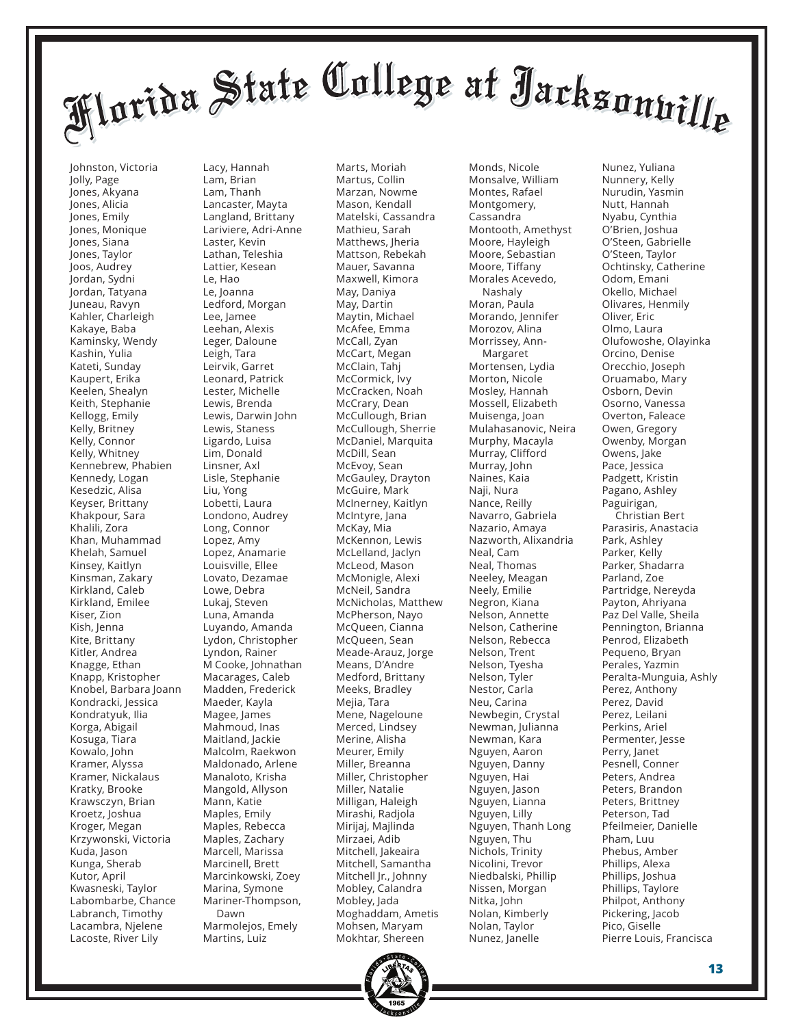Johnston, Victoria Jolly, Page Jones, Akyana Jones, Alicia Jones, Emily Jones, Monique Jones, Siana Jones, Taylor Joos, Audrey Jordan, Sydni Jordan, Tatyana Juneau, Ravyn Kahler, Charleigh Kakaye, Baba Kaminsky, Wendy Kashin, Yulia Kateti, Sunday Kaupert, Erika Keelen, Shealyn Keith, Stephanie Kellogg, Emily Kelly, Britney Kelly, Connor Kelly, Whitney Kennebrew, Phabien Kennedy, Logan Kesedzic, Alisa Keyser, Brittany Khakpour, Sara Khalili, Zora Khan, Muhammad Khelah, Samuel Kinsey, Kaitlyn Kinsman, Zakary Kirkland, Caleb Kirkland, Emilee Kiser, Zion Kish, Jenna Kite, Brittany Kitler, Andrea Knagge, Ethan Knapp, Kristopher Knobel, Barbara Joann Kondracki, Jessica Kondratyuk, Ilia Korga, Abigail Kosuga, Tiara Kowalo, John Kramer, Alyssa Kramer, Nickalaus Kratky, Brooke Krawsczyn, Brian Kroetz, Joshua Kroger, Megan Krzywonski, Victoria Kuda, Jason Kunga, Sherab Kutor, April Kwasneski, Taylor Labombarbe, Chance Labranch, Timothy Lacambra, Njelene Lacoste, River Lily

Lacy, Hannah Lam, Brian Lam, Thanh Lancaster, Mayta Langland, Brittany Lariviere, Adri-Anne Laster, Kevin Lathan, Teleshia Lattier, Kesean Le, Hao Le, Joanna Ledford, Morgan Lee, Jamee Leehan, Alexis Leger, Daloune Leigh, Tara Leirvik, Garret Leonard, Patrick Lester, Michelle Lewis, Brenda Lewis, Darwin John Lewis, Staness Ligardo, Luisa Lim, Donald Linsner, Axl Lisle, Stephanie Liu, Yong Lobetti, Laura Londono, Audrey Long, Connor Lopez, Amy Lopez, Anamarie Louisville, Ellee Lovato, Dezamae Lowe, Debra Lukaj, Steven Luna, Amanda Luyando, Amanda Lydon, Christopher Lyndon, Rainer M Cooke, Johnathan Macarages, Caleb Madden, Frederick Maeder, Kayla Magee, James Mahmoud, Inas Maitland, Jackie Malcolm, Raekwon Maldonado, Arlene Manaloto, Krisha Mangold, Allyson Mann, Katie Maples, Emily Maples, Rebecca Maples, Zachary Marcell, Marissa Marcinell, Brett Marcinkowski, Zoey Marina, Symone Mariner-Thompson, Dawn Marmolejos, Emely Martins, Luiz

Marts, Moriah Martus, Collin Marzan, Nowme Mason, Kendall Matelski, Cassandra Mathieu, Sarah Matthews, Jheria Mattson, Rebekah Mauer, Savanna Maxwell, Kimora May, Daniya May, Dartin Maytin, Michael McAfee, Emma McCall, Zyan McCart, Megan McClain, Tahj McCormick, Ivy McCracken, Noah McCrary, Dean McCullough, Brian McCullough, Sherrie McDaniel, Marquita McDill, Sean McEvoy, Sean McGauley, Drayton McGuire, Mark McInerney, Kaitlyn McIntyre, Jana McKay, Mia McKennon, Lewis McLelland, Jaclyn McLeod, Mason McMonigle, Alexi McNeil, Sandra McNicholas, Matthew McPherson, Nayo McQueen, Cianna McQueen, Sean Meade-Arauz, Jorge Means, D'Andre Medford, Brittany Meeks, Bradley Mejia, Tara Mene, Nageloune Merced, Lindsey Merine, Alisha Meurer, Emily Miller, Breanna Miller, Christopher Miller, Natalie Milligan, Haleigh Mirashi, Radjola Mirijaj, Majlinda Mirzaei, Adib Mitchell, Jakeaira Mitchell, Samantha Mitchell Jr., Johnny Mobley, Calandra Mobley, Jada Moghaddam, Ametis Mohsen, Maryam Mokhtar, Shereen

Monds, Nicole Monsalve, William Montes, Rafael Montgomery, Cassandra Montooth, Amethyst Moore, Hayleigh Moore, Sebastian Moore, Tiffany Morales Acevedo, Nashaly Moran, Paula Morando, Jennifer Morozov, Alina Morrissey, Ann- Margaret Mortensen, Lydia Morton, Nicole Mosley, Hannah Mossell, Elizabeth Muisenga, Joan Mulahasanovic, Neira Murphy, Macayla Murray, Clifford Murray, John Naines, Kaia Naji, Nura Nance, Reilly Navarro, Gabriela Nazario, Amaya Nazworth, Alixandria Neal, Cam Neal, Thomas Neeley, Meagan Neely, Emilie Negron, Kiana Nelson, Annette Nelson, Catherine Nelson, Rebecca Nelson, Trent Nelson, Tyesha Nelson, Tyler Nestor, Carla Neu, Carina Newbegin, Crystal Newman, Julianna Newman, Kara Nguyen, Aaron Nguyen, Danny Nguyen, Hai Nguyen, Jason Nguyen, Lianna Nguyen, Lilly Nguyen, Thanh Long Nguyen, Thu Nichols, Trinity Nicolini, Trevor Niedbalski, Phillip Nissen, Morgan Nitka, John Nolan, Kimberly Nolan, Taylor Nunez, Janelle

Nunez, Yuliana Nunnery, Kelly Nurudin, Yasmin Nutt, Hannah Nyabu, Cynthia O'Brien, Joshua O'Steen, Gabrielle O'Steen, Taylor Ochtinsky, Catherine Odom, Emani Okello, Michael Olivares, Henmily Oliver, Eric Olmo, Laura Olufowoshe, Olayinka Orcino, Denise Orecchio, Joseph Oruamabo, Mary Osborn, Devin Osorno, Vanessa Overton, Faleace Owen, Gregory Owenby, Morgan Owens, Jake Pace, Jessica Padgett, Kristin Pagano, Ashley Paguirigan, Christian Bert Parasiris, Anastacia Park, Ashley Parker, Kelly Parker, Shadarra Parland, Zoe Partridge, Nereyda Payton, Ahriyana Paz Del Valle, Sheila Pennington, Brianna Penrod, Elizabeth Pequeno, Bryan Perales, Yazmin Peralta-Munguia, Ashly Perez, Anthony Perez, David Perez, Leilani Perkins, Ariel Permenter, Jesse Perry, Janet Pesnell, Conner Peters, Andrea Peters, Brandon Peters, Brittney Peterson, Tad Pfeilmeier, Danielle Pham, Luu Phebus, Amber Phillips, Alexa Phillips, Joshua Phillips, Taylore Philpot, Anthony Pickering, Jacob Pico, Giselle Pierre Louis, Francisca

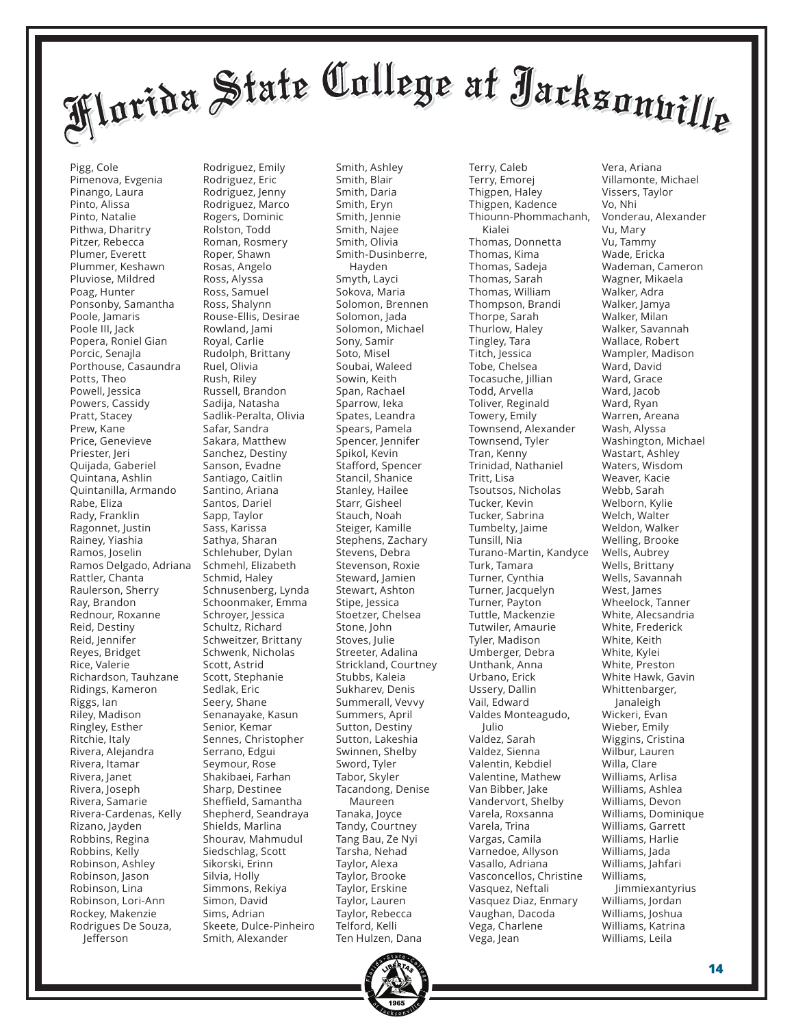Pigg, Cole Pimenova, Evgenia Pinango, Laura Pinto, Alissa Pinto, Natalie Pithwa, Dharitry Pitzer, Rebecca Plumer, Everett Plummer, Keshawn Pluviose, Mildred Poag, Hunter Ponsonby, Samantha Poole, Jamaris Poole III, Jack Popera, Roniel Gian Porcic, Senajla Porthouse, Casaundra Potts, Theo Powell, Jessica Powers, Cassidy Pratt, Stacey Prew, Kane Price, Genevieve Priester, Jeri Quijada, Gaberiel Quintana, Ashlin Quintanilla, Armando Rabe, Eliza Rady, Franklin Ragonnet, Justin Rainey, Yiashia Ramos, Joselin Ramos Delgado, Adriana Rattler, Chanta Raulerson, Sherry Ray, Brandon Rednour, Roxanne Reid, Destiny Reid, Jennifer Reyes, Bridget Rice, Valerie Richardson, Tauhzane Ridings, Kameron Riggs, Ian Riley, Madison Ringley, Esther Ritchie, Italy Rivera, Alejandra Rivera, Itamar Rivera, Janet Rivera, Joseph Rivera, Samarie Rivera-Cardenas, Kelly Rizano, Jayden Robbins, Regina Robbins, Kelly Robinson, Ashley Robinson, Jason Robinson, Lina Robinson, Lori-Ann Rockey, Makenzie Rodrigues De Souza, Jefferson

Rodriguez, Emily Rodriguez, Eric Rodriguez, Jenny Rodriguez, Marco Rogers, Dominic Rolston, Todd Roman, Rosmery Roper, Shawn Rosas, Angelo Ross, Alyssa Ross, Samuel Ross, Shalynn Rouse-Ellis, Desirae Rowland, Jami Royal, Carlie Rudolph, Brittany Ruel, Olivia Rush, Riley Russell, Brandon Sadija, Natasha Sadlik-Peralta, Olivia Safar, Sandra Sakara, Matthew Sanchez, Destiny Sanson, Evadne Santiago, Caitlin Santino, Ariana Santos, Dariel Sapp, Taylor Sass, Karissa Sathya, Sharan Schlehuber, Dylan Schmehl, Elizabeth Schmid, Haley Schnusenberg, Lynda Schoonmaker, Emma Schroyer, Jessica Schultz, Richard Schweitzer, Brittany Schwenk, Nicholas Scott, Astrid Scott, Stephanie Sedlak, Eric Seery, Shane Senanayake, Kasun Senior, Kemar Sennes, Christopher Serrano, Edgui Seymour, Rose Shakibaei, Farhan Sharp, Destinee Sheffield, Samantha Shepherd, Seandraya Shields, Marlina Shourav, Mahmudul Siedschlag, Scott Sikorski, Erinn Silvia, Holly Simmons, Rekiya Simon, David Sims, Adrian Skeete, Dulce-Pinheiro Smith, Alexander

Smith, Ashley Smith, Blair Smith, Daria Smith, Eryn Smith, Jennie Smith, Najee Smith, Olivia Smith-Dusinberre, Hayden Smyth, Layci Sokova, Maria Solomon, Brennen Solomon, Jada Solomon, Michael Sony, Samir Soto, Misel Soubai, Waleed Sowin, Keith Span, Rachael Sparrow, Ieka Spates, Leandra Spears, Pamela Spencer, Jennifer Spikol, Kevin Stafford, Spencer Stancil, Shanice Stanley, Hailee Starr, Gisheel Stauch, Noah Steiger, Kamille Stephens, Zachary Stevens, Debra Stevenson, Roxie Steward, Jamien Stewart, Ashton Stipe, Jessica Stoetzer, Chelsea Stone, John Stoves, Julie Streeter, Adalina Strickland, Courtney Stubbs, Kaleia Sukharev, Denis Summerall, Vevvy Summers, April Sutton, Destiny Sutton, Lakeshia Swinnen, Shelby Sword, Tyler Tabor, Skyler Tacandong, Denise Maureen Tanaka, Joyce Tandy, Courtney Tang Bau, Ze Nyi Tarsha, Nehad Taylor, Alexa Taylor, Brooke Taylor, Erskine Taylor, Lauren Taylor, Rebecca Telford, Kelli Ten Hulzen, Dana

Terry, Caleb Terry, Emorej Thigpen, Haley Thigpen, Kadence Thiounn-Phommachanh, Kialei Thomas, Donnetta Thomas, Kima Thomas, Sadeja Thomas, Sarah Thomas, William Thompson, Brandi Thorpe, Sarah Thurlow, Haley Tingley, Tara Titch, Jessica Tobe, Chelsea Tocasuche, Jillian Todd, Arvella Toliver, Reginald Towery, Emily Townsend, Alexander Townsend, Tyler Tran, Kenny Trinidad, Nathaniel Tritt, Lisa Tsoutsos, Nicholas Tucker, Kevin Tucker, Sabrina Tumbelty, Jaime Tunsill, Nia Turano-Martin, Kandyce Turk, Tamara Turner, Cynthia Turner, Jacquelyn Turner, Payton Tuttle, Mackenzie Tutwiler, Amaurie Tyler, Madison Umberger, Debra Unthank, Anna Urbano, Erick Ussery, Dallin Vail, Edward Valdes Monteagudo, Julio Valdez, Sarah Valdez, Sienna Valentin, Kebdiel Valentine, Mathew Van Bibber, Jake Vandervort, Shelby Varela, Roxsanna Varela, Trina Vargas, Camila Varnedoe, Allyson Vasallo, Adriana Vasconcellos, Christine Vasquez, Neftali Vasquez Diaz, Enmary Vaughan, Dacoda Vega, Charlene Vega, Jean

Vera, Ariana Villamonte, Michael Vissers, Taylor Vo, Nhi Vonderau, Alexander Vu, Mary Vu, Tammy Wade, Ericka Wademan, Cameron Wagner, Mikaela Walker, Adra Walker, Jamya Walker, Milan Walker, Savannah Wallace, Robert Wampler, Madison Ward, David Ward, Grace Ward, Jacob Ward, Ryan Warren, Areana Wash, Alyssa Washington, Michael Wastart, Ashley Waters, Wisdom Weaver, Kacie Webb, Sarah Welborn, Kylie Welch, Walter Weldon, Walker Welling, Brooke Wells, Aubrey Wells, Brittany Wells, Savannah West, James Wheelock, Tanner White, Alecsandria White, Frederick White, Keith White, Kylei White, Preston White Hawk, Gavin Whittenbarger, Janaleigh Wickeri, Evan Wieber, Emily Wiggins, Cristina Wilbur, Lauren Willa, Clare Williams, Arlisa Williams, Ashlea Williams, Devon Williams, Dominique Williams, Garrett Williams, Harlie Williams, Jada Williams, Jahfari Williams, Jimmiexantyrius Williams, Jordan Williams, Joshua Williams, Katrina Williams, Leila